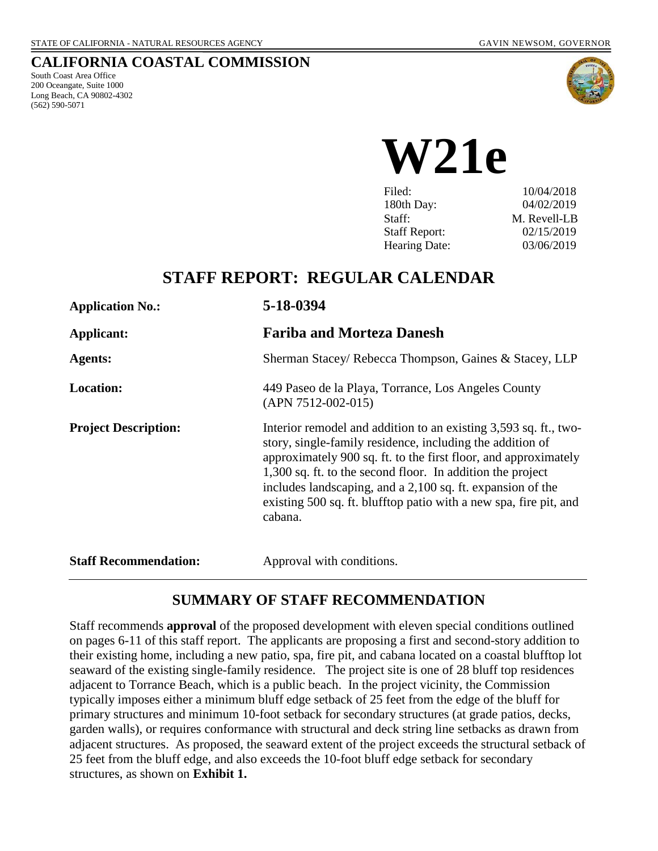### **CALIFORNIA COASTAL COMMISSION**

South Coast Area Office 200 Oceangate, Suite 1000 Long Beach, CA 90802-4302 (562) 590-5071



**W21e**

| Filed:               | 10/04/2018   |
|----------------------|--------------|
| 180th Day:           | 04/02/2019   |
| Staff:               | M. Revell-LB |
| <b>Staff Report:</b> | 02/15/2019   |
| <b>Hearing Date:</b> | 03/06/2019   |
|                      |              |

# **STAFF REPORT: REGULAR CALENDAR**

| <b>Application No.:</b>      | 5-18-0394                                                                                                                                                                                                                                                                                                                                                                                                    |  |
|------------------------------|--------------------------------------------------------------------------------------------------------------------------------------------------------------------------------------------------------------------------------------------------------------------------------------------------------------------------------------------------------------------------------------------------------------|--|
| Applicant:                   | <b>Fariba and Morteza Danesh</b>                                                                                                                                                                                                                                                                                                                                                                             |  |
| <b>Agents:</b>               | Sherman Stacey/ Rebecca Thompson, Gaines & Stacey, LLP                                                                                                                                                                                                                                                                                                                                                       |  |
| <b>Location:</b>             | 449 Paseo de la Playa, Torrance, Los Angeles County<br>$(APN 7512-002-015)$                                                                                                                                                                                                                                                                                                                                  |  |
| <b>Project Description:</b>  | Interior remodel and addition to an existing 3,593 sq. ft., two-<br>story, single-family residence, including the addition of<br>approximately 900 sq. ft. to the first floor, and approximately<br>1,300 sq. ft. to the second floor. In addition the project<br>includes landscaping, and a 2,100 sq. ft. expansion of the<br>existing 500 sq. ft. blufftop patio with a new spa, fire pit, and<br>cabana. |  |
| <b>Staff Recommendation:</b> | Approval with conditions.                                                                                                                                                                                                                                                                                                                                                                                    |  |

## **SUMMARY OF STAFF RECOMMENDATION**

Staff recommends **approval** of the proposed development with eleven special conditions outlined on pages 6-11 of this staff report. The applicants are proposing a first and second-story addition to their existing home, including a new patio, spa, fire pit, and cabana located on a coastal blufftop lot seaward of the existing single-family residence. The project site is one of 28 bluff top residences adjacent to Torrance Beach, which is a public beach. In the project vicinity, the Commission typically imposes either a minimum bluff edge setback of 25 feet from the edge of the bluff for primary structures and minimum 10-foot setback for secondary structures (at grade patios, decks, garden walls), or requires conformance with structural and deck string line setbacks as drawn from adjacent structures. As proposed, the seaward extent of the project exceeds the structural setback of 25 feet from the bluff edge, and also exceeds the 10-foot bluff edge setback for secondary structures, as shown on **Exhibit 1.**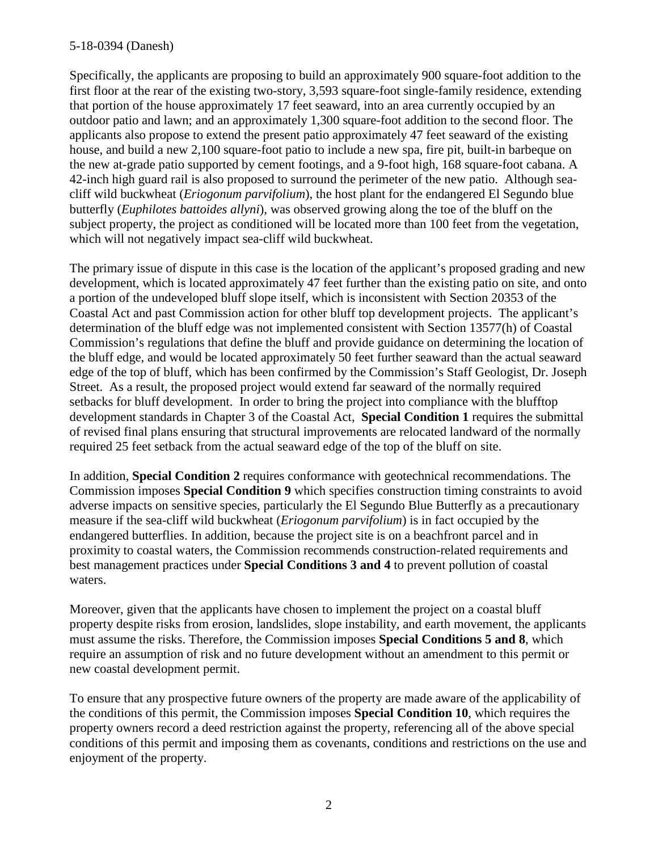Specifically, the applicants are proposing to build an approximately 900 square-foot addition to the first floor at the rear of the existing two-story, 3,593 square-foot single-family residence, extending that portion of the house approximately 17 feet seaward, into an area currently occupied by an outdoor patio and lawn; and an approximately 1,300 square-foot addition to the second floor. The applicants also propose to extend the present patio approximately 47 feet seaward of the existing house, and build a new 2,100 square-foot patio to include a new spa, fire pit, built-in barbeque on the new at-grade patio supported by cement footings, and a 9-foot high, 168 square-foot cabana. A 42-inch high guard rail is also proposed to surround the perimeter of the new patio. Although seacliff wild buckwheat (*Eriogonum parvifolium*), the host plant for the endangered El Segundo blue butterfly (*Euphilotes battoides allyni*), was observed growing along the toe of the bluff on the subject property, the project as conditioned will be located more than 100 feet from the vegetation, which will not negatively impact sea-cliff wild buckwheat.

The primary issue of dispute in this case is the location of the applicant's proposed grading and new development, which is located approximately 47 feet further than the existing patio on site, and onto a portion of the undeveloped bluff slope itself, which is inconsistent with Section 20353 of the Coastal Act and past Commission action for other bluff top development projects. The applicant's determination of the bluff edge was not implemented consistent with Section 13577(h) of Coastal Commission's regulations that define the bluff and provide guidance on determining the location of the bluff edge, and would be located approximately 50 feet further seaward than the actual seaward edge of the top of bluff, which has been confirmed by the Commission's Staff Geologist, Dr. Joseph Street. As a result, the proposed project would extend far seaward of the normally required setbacks for bluff development. In order to bring the project into compliance with the blufftop development standards in Chapter 3 of the Coastal Act, **Special Condition 1** requires the submittal of revised final plans ensuring that structural improvements are relocated landward of the normally required 25 feet setback from the actual seaward edge of the top of the bluff on site.

In addition, **Special Condition 2** requires conformance with geotechnical recommendations. The Commission imposes **Special Condition 9** which specifies construction timing constraints to avoid adverse impacts on sensitive species, particularly the El Segundo Blue Butterfly as a precautionary measure if the sea-cliff wild buckwheat (*Eriogonum parvifolium*) is in fact occupied by the endangered butterflies. In addition, because the project site is on a beachfront parcel and in proximity to coastal waters, the Commission recommends construction-related requirements and best management practices under **Special Conditions 3 and 4** to prevent pollution of coastal waters.

Moreover, given that the applicants have chosen to implement the project on a coastal bluff property despite risks from erosion, landslides, slope instability, and earth movement, the applicants must assume the risks. Therefore, the Commission imposes **Special Conditions 5 and 8**, which require an assumption of risk and no future development without an amendment to this permit or new coastal development permit.

To ensure that any prospective future owners of the property are made aware of the applicability of the conditions of this permit, the Commission imposes **Special Condition 10**, which requires the property owners record a deed restriction against the property, referencing all of the above special conditions of this permit and imposing them as covenants, conditions and restrictions on the use and enjoyment of the property.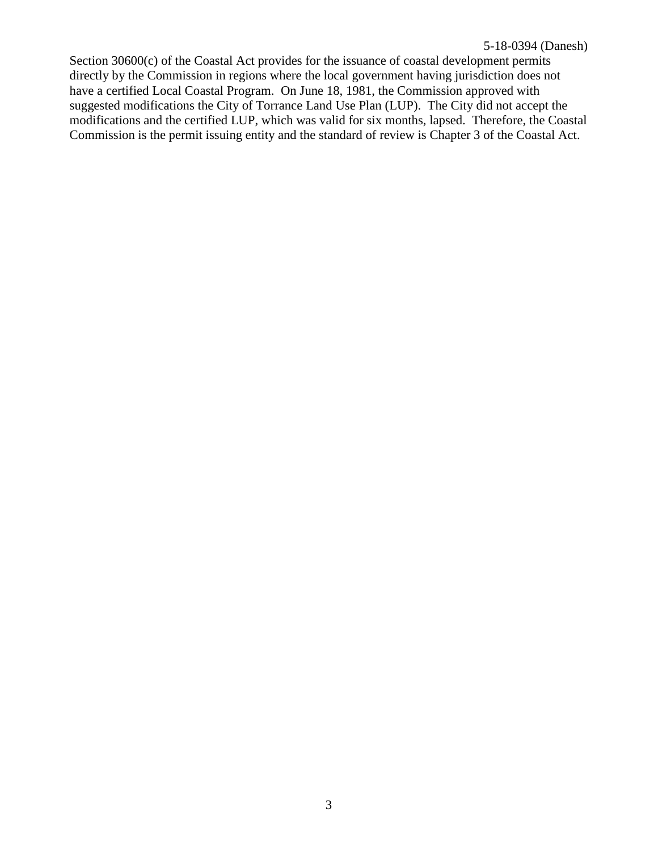Section 30600(c) of the Coastal Act provides for the issuance of coastal development permits directly by the Commission in regions where the local government having jurisdiction does not have a certified Local Coastal Program. On June 18, 1981, the Commission approved with suggested modifications the City of Torrance Land Use Plan (LUP). The City did not accept the modifications and the certified LUP, which was valid for six months, lapsed. Therefore, the Coastal Commission is the permit issuing entity and the standard of review is Chapter 3 of the Coastal Act.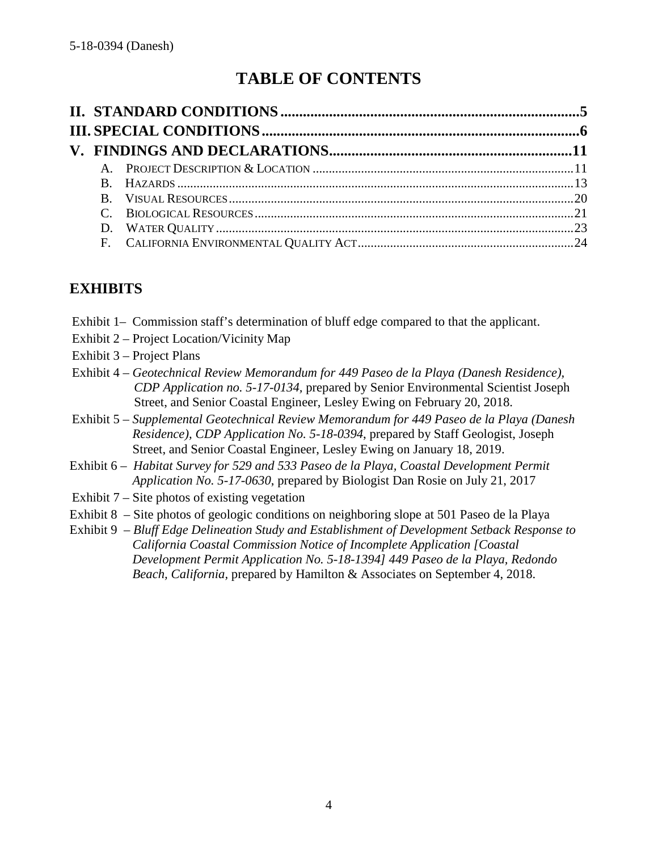# **TABLE OF CONTENTS**

# **EXHIBITS**

- Exhibit 1– Commission staff's determination of bluff edge compared to that the applicant.
- Exhibit 2 Project Location/Vicinity Map
- Exhibit 3 Project Plans
- Exhibit 4 *Geotechnical Review Memorandum for 449 Paseo de la Playa (Danesh Residence), CDP Application no. 5-17-0134,* prepared by Senior Environmental Scientist Joseph Street, and Senior Coastal Engineer, Lesley Ewing on February 20, 2018.
- Exhibit 5 *Supplemental Geotechnical Review Memorandum for 449 Paseo de la Playa (Danesh Residence), CDP Application No. 5-18-0394*, prepared by Staff Geologist, Joseph Street, and Senior Coastal Engineer, Lesley Ewing on January 18, 2019.
- Exhibit 6 *Habitat Survey for 529 and 533 Paseo de la Playa, Coastal Development Permit Application No. 5-17-0630*, prepared by Biologist Dan Rosie on July 21, 2017
- Exhibit 7 Site photos of existing vegetation
- Exhibit 8 Site photos of geologic conditions on neighboring slope at 501 Paseo de la Playa
- Exhibit 9 *Bluff Edge Delineation Study and Establishment of Development Setback Response to California Coastal Commission Notice of Incomplete Application [Coastal Development Permit Application No. 5-18-1394] 449 Paseo de la Playa, Redondo Beach, California,* prepared by Hamilton & Associates on September 4, 2018.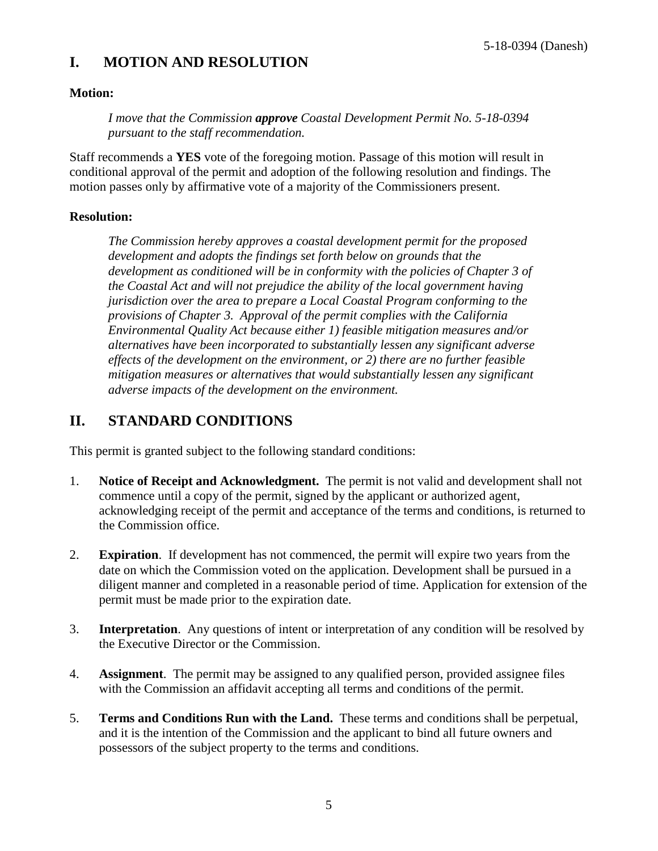## **I. MOTION AND RESOLUTION**

### **Motion:**

*I move that the Commission approve Coastal Development Permit No. 5-18-0394 pursuant to the staff recommendation.*

Staff recommends a **YES** vote of the foregoing motion. Passage of this motion will result in conditional approval of the permit and adoption of the following resolution and findings. The motion passes only by affirmative vote of a majority of the Commissioners present.

### **Resolution:**

*The Commission hereby approves a coastal development permit for the proposed development and adopts the findings set forth below on grounds that the development as conditioned will be in conformity with the policies of Chapter 3 of the Coastal Act and will not prejudice the ability of the local government having jurisdiction over the area to prepare a Local Coastal Program conforming to the provisions of Chapter 3. Approval of the permit complies with the California Environmental Quality Act because either 1) feasible mitigation measures and/or alternatives have been incorporated to substantially lessen any significant adverse effects of the development on the environment, or 2) there are no further feasible mitigation measures or alternatives that would substantially lessen any significant adverse impacts of the development on the environment.*

# <span id="page-4-0"></span>**II. STANDARD CONDITIONS**

This permit is granted subject to the following standard conditions:

- 1. **Notice of Receipt and Acknowledgment.** The permit is not valid and development shall not commence until a copy of the permit, signed by the applicant or authorized agent, acknowledging receipt of the permit and acceptance of the terms and conditions, is returned to the Commission office.
- 2. **Expiration**. If development has not commenced, the permit will expire two years from the date on which the Commission voted on the application. Development shall be pursued in a diligent manner and completed in a reasonable period of time. Application for extension of the permit must be made prior to the expiration date.
- 3. **Interpretation**. Any questions of intent or interpretation of any condition will be resolved by the Executive Director or the Commission.
- 4. **Assignment**. The permit may be assigned to any qualified person, provided assignee files with the Commission an affidavit accepting all terms and conditions of the permit.
- 5. **Terms and Conditions Run with the Land.** These terms and conditions shall be perpetual, and it is the intention of the Commission and the applicant to bind all future owners and possessors of the subject property to the terms and conditions.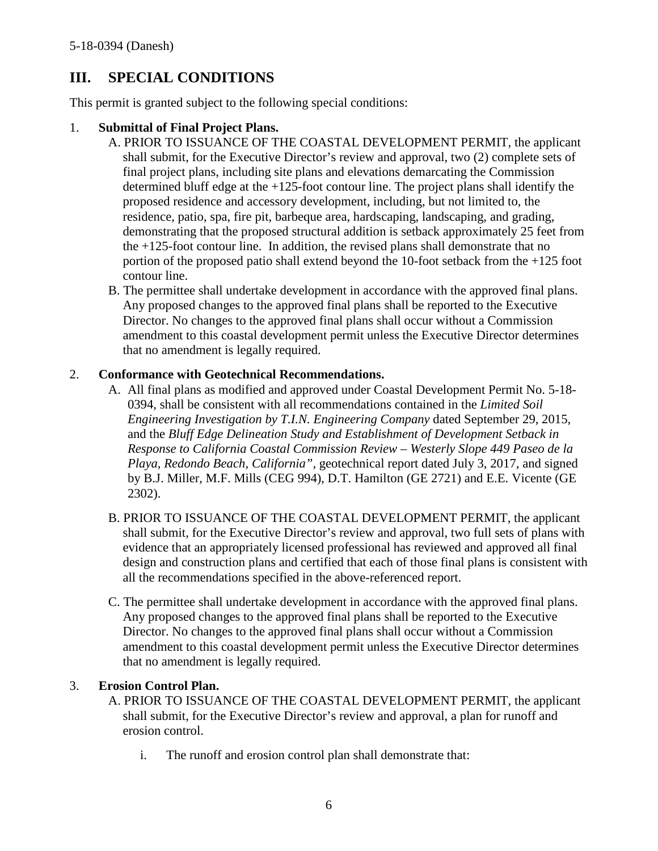# <span id="page-5-0"></span>**III. SPECIAL CONDITIONS**

This permit is granted subject to the following special conditions:

### 1. **Submittal of Final Project Plans.**

- A. PRIOR TO ISSUANCE OF THE COASTAL DEVELOPMENT PERMIT, the applicant shall submit, for the Executive Director's review and approval, two (2) complete sets of final project plans, including site plans and elevations demarcating the Commission determined bluff edge at the +125-foot contour line. The project plans shall identify the proposed residence and accessory development, including, but not limited to, the residence, patio, spa, fire pit, barbeque area, hardscaping, landscaping, and grading, demonstrating that the proposed structural addition is setback approximately 25 feet from the +125-foot contour line. In addition, the revised plans shall demonstrate that no portion of the proposed patio shall extend beyond the 10-foot setback from the +125 foot contour line.
- B. The permittee shall undertake development in accordance with the approved final plans. Any proposed changes to the approved final plans shall be reported to the Executive Director. No changes to the approved final plans shall occur without a Commission amendment to this coastal development permit unless the Executive Director determines that no amendment is legally required.

### 2. **Conformance with Geotechnical Recommendations.**

- A. All final plans as modified and approved under Coastal Development Permit No. 5-18- 0394, shall be consistent with all recommendations contained in the *Limited Soil Engineering Investigation by T.I.N. Engineering Company* dated September 29, 2015, and the *Bluff Edge Delineation Study and Establishment of Development Setback in Response to California Coastal Commission Review – Westerly Slope 449 Paseo de la Playa, Redondo Beach, California",* geotechnical report dated July 3, 2017, and signed by B.J. Miller, M.F. Mills (CEG 994), D.T. Hamilton (GE 2721) and E.E. Vicente (GE 2302).
- B. PRIOR TO ISSUANCE OF THE COASTAL DEVELOPMENT PERMIT, the applicant shall submit, for the Executive Director's review and approval, two full sets of plans with evidence that an appropriately licensed professional has reviewed and approved all final design and construction plans and certified that each of those final plans is consistent with all the recommendations specified in the above-referenced report.
- C. The permittee shall undertake development in accordance with the approved final plans. Any proposed changes to the approved final plans shall be reported to the Executive Director. No changes to the approved final plans shall occur without a Commission amendment to this coastal development permit unless the Executive Director determines that no amendment is legally required.

### 3. **Erosion Control Plan.**

- A. PRIOR TO ISSUANCE OF THE COASTAL DEVELOPMENT PERMIT, the applicant shall submit, for the Executive Director's review and approval, a plan for runoff and erosion control.
	- i. The runoff and erosion control plan shall demonstrate that: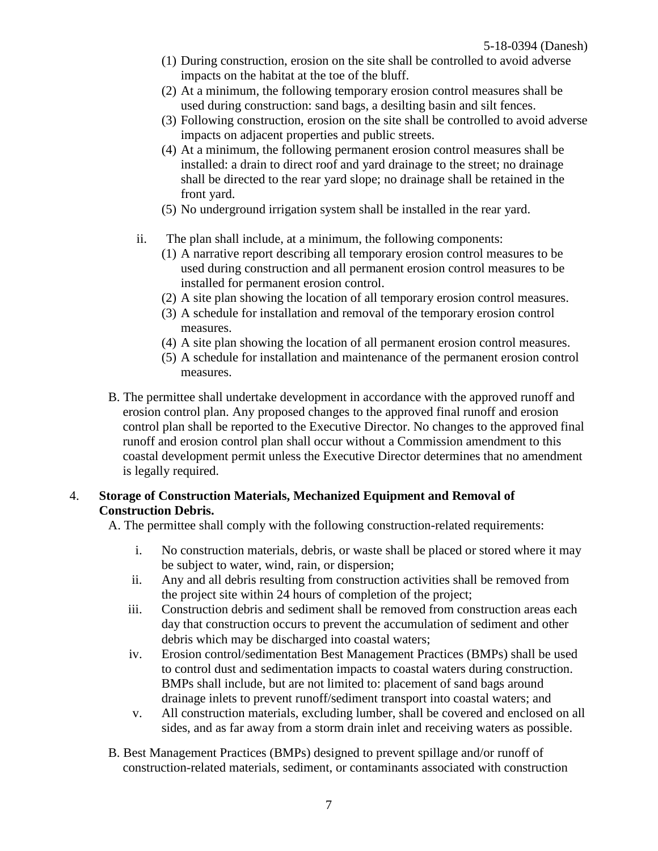- (1) During construction, erosion on the site shall be controlled to avoid adverse impacts on the habitat at the toe of the bluff.
- (2) At a minimum, the following temporary erosion control measures shall be used during construction: sand bags, a desilting basin and silt fences.
- (3) Following construction, erosion on the site shall be controlled to avoid adverse impacts on adjacent properties and public streets.
- (4) At a minimum, the following permanent erosion control measures shall be installed: a drain to direct roof and yard drainage to the street; no drainage shall be directed to the rear yard slope; no drainage shall be retained in the front yard.
- (5) No underground irrigation system shall be installed in the rear yard.
- ii. The plan shall include, at a minimum, the following components:
	- (1) A narrative report describing all temporary erosion control measures to be used during construction and all permanent erosion control measures to be installed for permanent erosion control.
	- (2) A site plan showing the location of all temporary erosion control measures.
	- (3) A schedule for installation and removal of the temporary erosion control measures.
	- (4) A site plan showing the location of all permanent erosion control measures.
	- (5) A schedule for installation and maintenance of the permanent erosion control measures.
- B. The permittee shall undertake development in accordance with the approved runoff and erosion control plan. Any proposed changes to the approved final runoff and erosion control plan shall be reported to the Executive Director. No changes to the approved final runoff and erosion control plan shall occur without a Commission amendment to this coastal development permit unless the Executive Director determines that no amendment is legally required.

### 4. **Storage of Construction Materials, Mechanized Equipment and Removal of Construction Debris.**

A. The permittee shall comply with the following construction-related requirements:

- i. No construction materials, debris, or waste shall be placed or stored where it may be subject to water, wind, rain, or dispersion;
- ii. Any and all debris resulting from construction activities shall be removed from the project site within 24 hours of completion of the project;
- iii. Construction debris and sediment shall be removed from construction areas each day that construction occurs to prevent the accumulation of sediment and other debris which may be discharged into coastal waters;
- iv. Erosion control/sedimentation Best Management Practices (BMPs) shall be used to control dust and sedimentation impacts to coastal waters during construction. BMPs shall include, but are not limited to: placement of sand bags around drainage inlets to prevent runoff/sediment transport into coastal waters; and
- v. All construction materials, excluding lumber, shall be covered and enclosed on all sides, and as far away from a storm drain inlet and receiving waters as possible.
- B. Best Management Practices (BMPs) designed to prevent spillage and/or runoff of construction-related materials, sediment, or contaminants associated with construction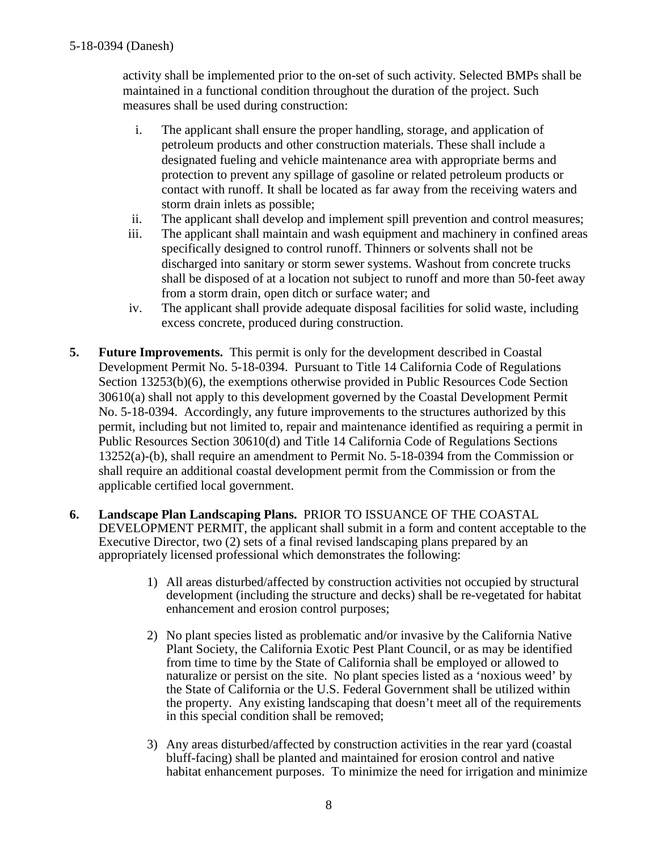activity shall be implemented prior to the on-set of such activity. Selected BMPs shall be maintained in a functional condition throughout the duration of the project. Such measures shall be used during construction:

- i. The applicant shall ensure the proper handling, storage, and application of petroleum products and other construction materials. These shall include a designated fueling and vehicle maintenance area with appropriate berms and protection to prevent any spillage of gasoline or related petroleum products or contact with runoff. It shall be located as far away from the receiving waters and storm drain inlets as possible;
- ii. The applicant shall develop and implement spill prevention and control measures;
- iii. The applicant shall maintain and wash equipment and machinery in confined areas specifically designed to control runoff. Thinners or solvents shall not be discharged into sanitary or storm sewer systems. Washout from concrete trucks shall be disposed of at a location not subject to runoff and more than 50-feet away from a storm drain, open ditch or surface water; and
- iv. The applicant shall provide adequate disposal facilities for solid waste, including excess concrete, produced during construction.
- **5. Future Improvements.** This permit is only for the development described in Coastal Development Permit No. 5-18-0394. Pursuant to Title 14 California Code of Regulations Section 13253(b)(6), the exemptions otherwise provided in Public Resources Code Section 30610(a) shall not apply to this development governed by the Coastal Development Permit No. 5-18-0394. Accordingly, any future improvements to the structures authorized by this permit, including but not limited to, repair and maintenance identified as requiring a permit in Public Resources Section 30610(d) and Title 14 California Code of Regulations Sections 13252(a)-(b), shall require an amendment to Permit No. 5-18-0394 from the Commission or shall require an additional coastal development permit from the Commission or from the applicable certified local government.
- **6. Landscape Plan Landscaping Plans.** PRIOR TO ISSUANCE OF THE COASTAL DEVELOPMENT PERMIT, the applicant shall submit in a form and content acceptable to the Executive Director, two (2) sets of a final revised landscaping plans prepared by an appropriately licensed professional which demonstrates the following:
	- 1) All areas disturbed/affected by construction activities not occupied by structural development (including the structure and decks) shall be re-vegetated for habitat enhancement and erosion control purposes;
	- 2) No plant species listed as problematic and/or invasive by the California Native Plant Society, the California Exotic Pest Plant Council, or as may be identified from time to time by the State of California shall be employed or allowed to naturalize or persist on the site. No plant species listed as a 'noxious weed' by the State of California or the U.S. Federal Government shall be utilized within the property. Any existing landscaping that doesn't meet all of the requirements in this special condition shall be removed;
	- 3) Any areas disturbed/affected by construction activities in the rear yard (coastal bluff-facing) shall be planted and maintained for erosion control and native habitat enhancement purposes. To minimize the need for irrigation and minimize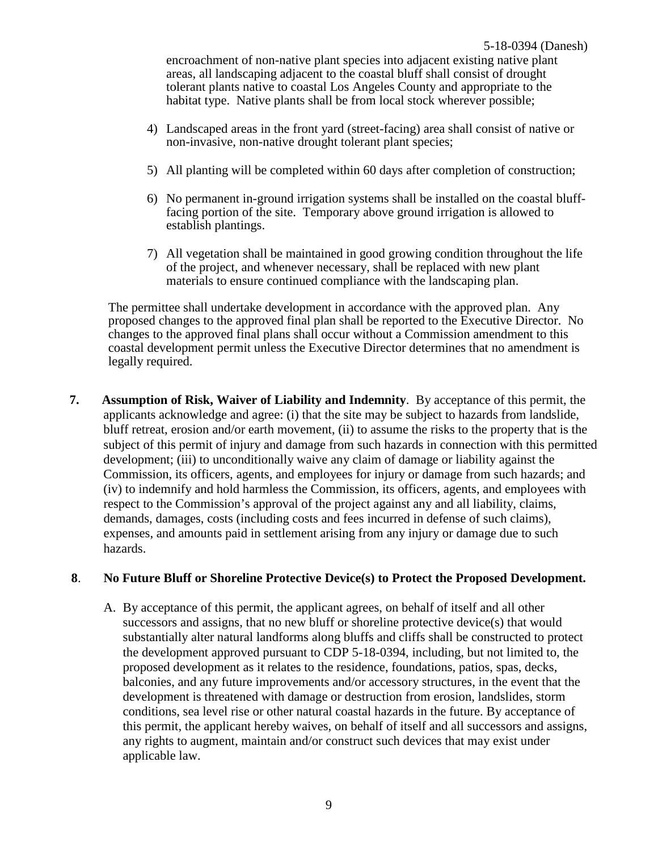encroachment of non-native plant species into adjacent existing native plant areas, all landscaping adjacent to the coastal bluff shall consist of drought tolerant plants native to coastal Los Angeles County and appropriate to the habitat type. Native plants shall be from local stock wherever possible;

- 4) Landscaped areas in the front yard (street-facing) area shall consist of native or non-invasive, non-native drought tolerant plant species;
- 5) All planting will be completed within 60 days after completion of construction;
- 6) No permanent in-ground irrigation systems shall be installed on the coastal blufffacing portion of the site. Temporary above ground irrigation is allowed to establish plantings.
- 7) All vegetation shall be maintained in good growing condition throughout the life of the project, and whenever necessary, shall be replaced with new plant materials to ensure continued compliance with the landscaping plan.

The permittee shall undertake development in accordance with the approved plan. Any proposed changes to the approved final plan shall be reported to the Executive Director. No changes to the approved final plans shall occur without a Commission amendment to this coastal development permit unless the Executive Director determines that no amendment is legally required.

**7. Assumption of Risk, Waiver of Liability and Indemnity**. By acceptance of this permit, the applicants acknowledge and agree: (i) that the site may be subject to hazards from landslide, bluff retreat, erosion and/or earth movement, (ii) to assume the risks to the property that is the subject of this permit of injury and damage from such hazards in connection with this permitted development; (iii) to unconditionally waive any claim of damage or liability against the Commission, its officers, agents, and employees for injury or damage from such hazards; and (iv) to indemnify and hold harmless the Commission, its officers, agents, and employees with respect to the Commission's approval of the project against any and all liability, claims, demands, damages, costs (including costs and fees incurred in defense of such claims), expenses, and amounts paid in settlement arising from any injury or damage due to such hazards.

#### **8**. **No Future Bluff or Shoreline Protective Device(s) to Protect the Proposed Development.**

A. By acceptance of this permit, the applicant agrees, on behalf of itself and all other successors and assigns, that no new bluff or shoreline protective device(s) that would substantially alter natural landforms along bluffs and cliffs shall be constructed to protect the development approved pursuant to CDP 5-18-0394, including, but not limited to, the proposed development as it relates to the residence, foundations, patios, spas, decks, balconies, and any future improvements and/or accessory structures, in the event that the development is threatened with damage or destruction from erosion, landslides, storm conditions, sea level rise or other natural coastal hazards in the future. By acceptance of this permit, the applicant hereby waives, on behalf of itself and all successors and assigns, any rights to augment, maintain and/or construct such devices that may exist under applicable law.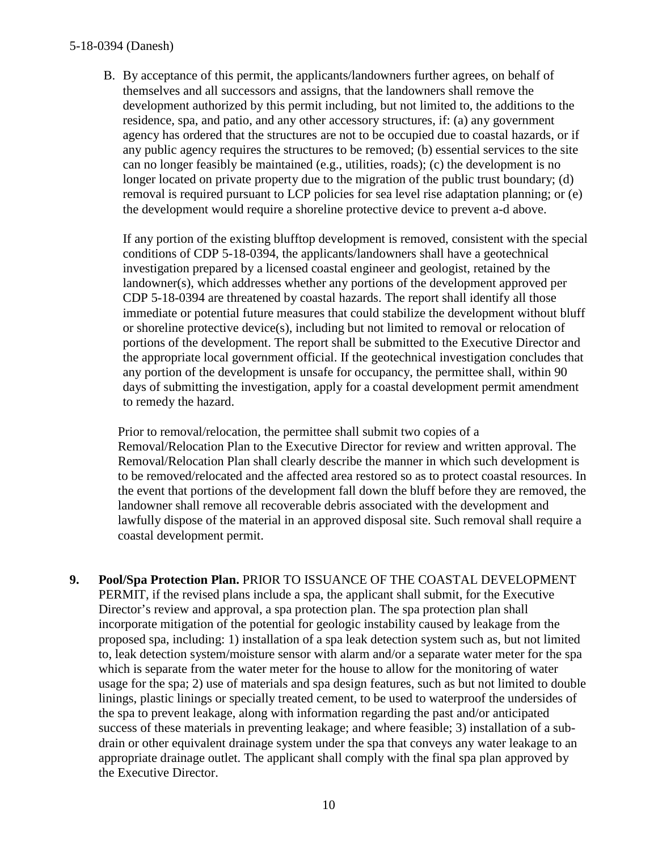B. By acceptance of this permit, the applicants/landowners further agrees, on behalf of themselves and all successors and assigns, that the landowners shall remove the development authorized by this permit including, but not limited to, the additions to the residence, spa, and patio, and any other accessory structures, if: (a) any government agency has ordered that the structures are not to be occupied due to coastal hazards, or if any public agency requires the structures to be removed; (b) essential services to the site can no longer feasibly be maintained (e.g., utilities, roads); (c) the development is no longer located on private property due to the migration of the public trust boundary; (d) removal is required pursuant to LCP policies for sea level rise adaptation planning; or (e) the development would require a shoreline protective device to prevent a-d above.

If any portion of the existing blufftop development is removed, consistent with the special conditions of CDP 5-18-0394, the applicants/landowners shall have a geotechnical investigation prepared by a licensed coastal engineer and geologist, retained by the landowner(s), which addresses whether any portions of the development approved per CDP 5-18-0394 are threatened by coastal hazards. The report shall identify all those immediate or potential future measures that could stabilize the development without bluff or shoreline protective device(s), including but not limited to removal or relocation of portions of the development. The report shall be submitted to the Executive Director and the appropriate local government official. If the geotechnical investigation concludes that any portion of the development is unsafe for occupancy, the permittee shall, within 90 days of submitting the investigation, apply for a coastal development permit amendment to remedy the hazard.

 Prior to removal/relocation, the permittee shall submit two copies of a Removal/Relocation Plan to the Executive Director for review and written approval. The Removal/Relocation Plan shall clearly describe the manner in which such development is to be removed/relocated and the affected area restored so as to protect coastal resources. In the event that portions of the development fall down the bluff before they are removed, the landowner shall remove all recoverable debris associated with the development and lawfully dispose of the material in an approved disposal site. Such removal shall require a coastal development permit.

**9. Pool/Spa Protection Plan.** PRIOR TO ISSUANCE OF THE COASTAL DEVELOPMENT PERMIT, if the revised plans include a spa, the applicant shall submit, for the Executive Director's review and approval, a spa protection plan. The spa protection plan shall incorporate mitigation of the potential for geologic instability caused by leakage from the proposed spa, including: 1) installation of a spa leak detection system such as, but not limited to, leak detection system/moisture sensor with alarm and/or a separate water meter for the spa which is separate from the water meter for the house to allow for the monitoring of water usage for the spa; 2) use of materials and spa design features, such as but not limited to double linings, plastic linings or specially treated cement, to be used to waterproof the undersides of the spa to prevent leakage, along with information regarding the past and/or anticipated success of these materials in preventing leakage; and where feasible; 3) installation of a subdrain or other equivalent drainage system under the spa that conveys any water leakage to an appropriate drainage outlet. The applicant shall comply with the final spa plan approved by the Executive Director.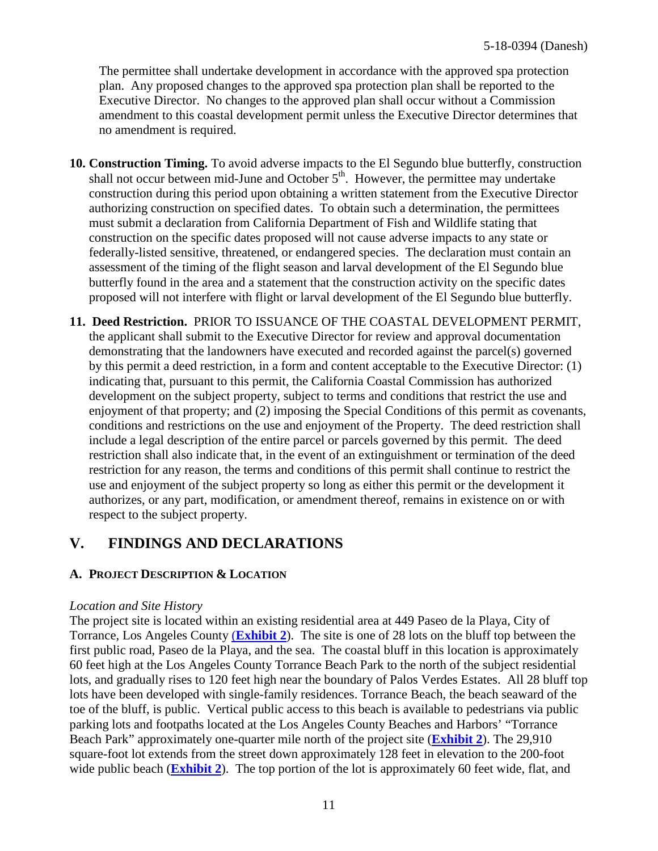The permittee shall undertake development in accordance with the approved spa protection plan. Any proposed changes to the approved spa protection plan shall be reported to the Executive Director. No changes to the approved plan shall occur without a Commission amendment to this coastal development permit unless the Executive Director determines that no amendment is required.

- **10. Construction Timing.** To avoid adverse impacts to the El Segundo blue butterfly, construction shall not occur between mid-June and October  $5<sup>th</sup>$ . However, the permittee may undertake construction during this period upon obtaining a written statement from the Executive Director authorizing construction on specified dates. To obtain such a determination, the permittees must submit a declaration from California Department of Fish and Wildlife stating that construction on the specific dates proposed will not cause adverse impacts to any state or federally-listed sensitive, threatened, or endangered species. The declaration must contain an assessment of the timing of the flight season and larval development of the El Segundo blue butterfly found in the area and a statement that the construction activity on the specific dates proposed will not interfere with flight or larval development of the El Segundo blue butterfly.
- **11. Deed Restriction.** PRIOR TO ISSUANCE OF THE COASTAL DEVELOPMENT PERMIT, the applicant shall submit to the Executive Director for review and approval documentation demonstrating that the landowners have executed and recorded against the parcel(s) governed by this permit a deed restriction, in a form and content acceptable to the Executive Director: (1) indicating that, pursuant to this permit, the California Coastal Commission has authorized development on the subject property, subject to terms and conditions that restrict the use and enjoyment of that property; and (2) imposing the Special Conditions of this permit as covenants, conditions and restrictions on the use and enjoyment of the Property. The deed restriction shall include a legal description of the entire parcel or parcels governed by this permit. The deed restriction shall also indicate that, in the event of an extinguishment or termination of the deed restriction for any reason, the terms and conditions of this permit shall continue to restrict the use and enjoyment of the subject property so long as either this permit or the development it authorizes, or any part, modification, or amendment thereof, remains in existence on or with respect to the subject property.

## <span id="page-10-0"></span>**V. FINDINGS AND DECLARATIONS**

### <span id="page-10-1"></span>**A. PROJECT DESCRIPTION & LOCATION**

#### *Location and Site History*

The project site is located within an existing residential area at 449 Paseo de la Playa, City of Torrance, Los Angeles County (**[Exhibit 2](https://documents.coastal.ca.gov/reports/2019/3/w21e/w21e-3-2019-exhibits.pdf)**). The site is one of 28 lots on the bluff top between the first public road, Paseo de la Playa, and the sea. The coastal bluff in this location is approximately 60 feet high at the Los Angeles County Torrance Beach Park to the north of the subject residential lots, and gradually rises to 120 feet high near the boundary of Palos Verdes Estates. All 28 bluff top lots have been developed with single-family residences. Torrance Beach, the beach seaward of the toe of the bluff, is public. Vertical public access to this beach is available to pedestrians via public parking lots and footpaths located at the Los Angeles County Beaches and Harbors' "Torrance Beach Park" approximately one-quarter mile north of the project site (**[Exhibit 2](https://documents.coastal.ca.gov/reports/2019/3/w21e/w21e-3-2019-exhibits.pdf)**). The 29,910 square-foot lot extends from the street down approximately 128 feet in elevation to the 200-foot wide public beach (**[Exhibit 2](https://documents.coastal.ca.gov/reports/2019/3/w21e/w21e-3-2019-exhibits.pdf)**). The top portion of the lot is approximately 60 feet wide, flat, and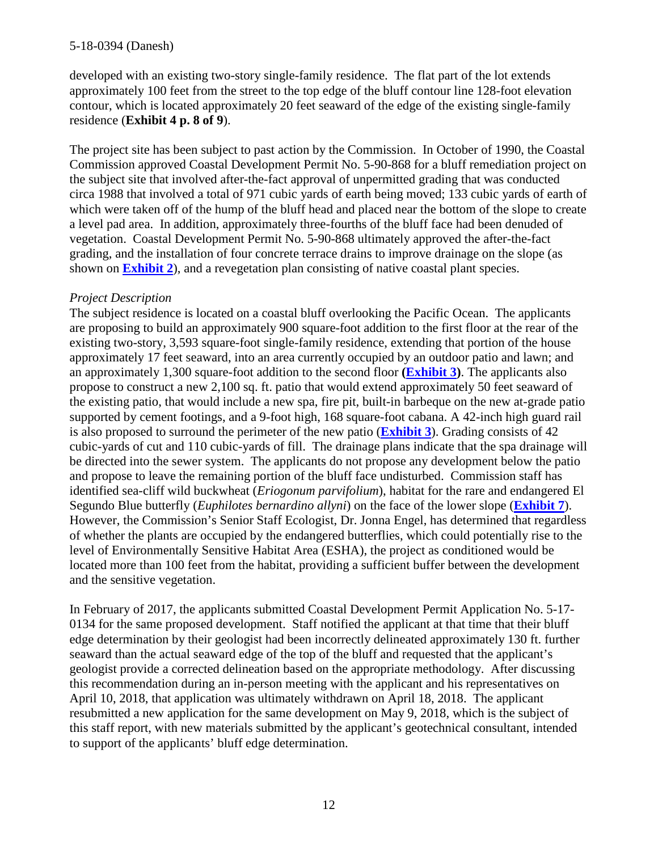developed with an existing two-story single-family residence. The flat part of the lot extends approximately 100 feet from the street to the top edge of the bluff contour line 128-foot elevation contour, which is located approximately 20 feet seaward of the edge of the existing single-family residence (**Exhibit 4 p. 8 of 9**).

The project site has been subject to past action by the Commission. In October of 1990, the Coastal Commission approved Coastal Development Permit No. 5-90-868 for a bluff remediation project on the subject site that involved after-the-fact approval of unpermitted grading that was conducted circa 1988 that involved a total of 971 cubic yards of earth being moved; 133 cubic yards of earth of which were taken off of the hump of the bluff head and placed near the bottom of the slope to create a level pad area. In addition, approximately three-fourths of the bluff face had been denuded of vegetation. Coastal Development Permit No. 5-90-868 ultimately approved the after-the-fact grading, and the installation of four concrete terrace drains to improve drainage on the slope (as shown on **[Exhibit 2](https://documents.coastal.ca.gov/reports/2019/3/w21e/w21e-3-2019-exhibits.pdf)**), and a revegetation plan consisting of native coastal plant species.

#### *Project Description*

The subject residence is located on a coastal bluff overlooking the Pacific Ocean. The applicants are proposing to build an approximately 900 square-foot addition to the first floor at the rear of the existing two-story, 3,593 square-foot single-family residence, extending that portion of the house approximately 17 feet seaward, into an area currently occupied by an outdoor patio and lawn; and an approximately 1,300 square-foot addition to the second floor **[\(Exhibit 3\)](https://documents.coastal.ca.gov/reports/2019/3/w21e/w21e-3-2019-exhibits.pdf)**. The applicants also propose to construct a new 2,100 sq. ft. patio that would extend approximately 50 feet seaward of the existing patio, that would include a new spa, fire pit, built-in barbeque on the new at-grade patio supported by cement footings, and a 9-foot high, 168 square-foot cabana. A 42-inch high guard rail is also proposed to surround the perimeter of the new patio (**[Exhibit 3](https://documents.coastal.ca.gov/reports/2019/3/w21e/w21e-3-2019-exhibits.pdf)**). Grading consists of 42 cubic-yards of cut and 110 cubic-yards of fill. The drainage plans indicate that the spa drainage will be directed into the sewer system. The applicants do not propose any development below the patio and propose to leave the remaining portion of the bluff face undisturbed. Commission staff has identified sea-cliff wild buckwheat (*Eriogonum parvifolium*), habitat for the rare and endangered El Segundo Blue butterfly (*Euphilotes bernardino allyni*) on the face of the lower slope (**[Exhibit 7](https://documents.coastal.ca.gov/reports/2019/3/w21e/w21e-3-2019-exhibits.pdf)**). However, the Commission's Senior Staff Ecologist, Dr. Jonna Engel, has determined that regardless of whether the plants are occupied by the endangered butterflies, which could potentially rise to the level of Environmentally Sensitive Habitat Area (ESHA), the project as conditioned would be located more than 100 feet from the habitat, providing a sufficient buffer between the development and the sensitive vegetation.

In February of 2017, the applicants submitted Coastal Development Permit Application No. 5-17- 0134 for the same proposed development. Staff notified the applicant at that time that their bluff edge determination by their geologist had been incorrectly delineated approximately 130 ft. further seaward than the actual seaward edge of the top of the bluff and requested that the applicant's geologist provide a corrected delineation based on the appropriate methodology. After discussing this recommendation during an in-person meeting with the applicant and his representatives on April 10, 2018, that application was ultimately withdrawn on April 18, 2018. The applicant resubmitted a new application for the same development on May 9, 2018, which is the subject of this staff report, with new materials submitted by the applicant's geotechnical consultant, intended to support of the applicants' bluff edge determination.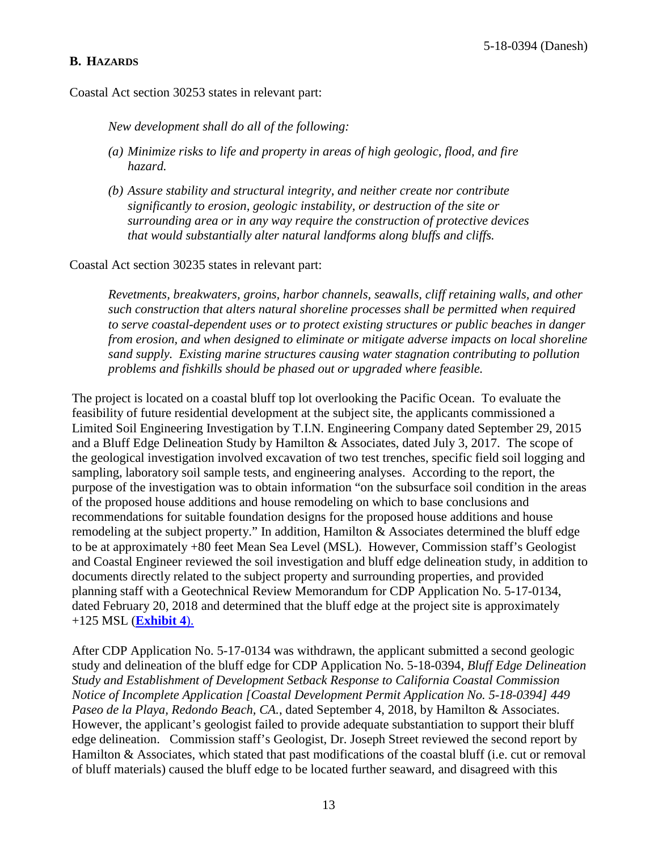#### <span id="page-12-0"></span>**B. HAZARDS**

Coastal Act section 30253 states in relevant part:

*New development shall do all of the following:*

- *(a) Minimize risks to life and property in areas of high geologic, flood, and fire hazard.*
- *(b) Assure stability and structural integrity, and neither create nor contribute significantly to erosion, geologic instability, or destruction of the site or surrounding area or in any way require the construction of protective devices that would substantially alter natural landforms along bluffs and cliffs.*

Coastal Act section 30235 states in relevant part:

*Revetments, breakwaters, groins, harbor channels, seawalls, cliff retaining walls, and other such construction that alters natural shoreline processes shall be permitted when required to serve coastal-dependent uses or to protect existing structures or public beaches in danger from erosion, and when designed to eliminate or mitigate adverse impacts on local shoreline sand supply. Existing marine structures causing water stagnation contributing to pollution problems and fishkills should be phased out or upgraded where feasible.*

The project is located on a coastal bluff top lot overlooking the Pacific Ocean. To evaluate the feasibility of future residential development at the subject site, the applicants commissioned a Limited Soil Engineering Investigation by T.I.N. Engineering Company dated September 29, 2015 and a Bluff Edge Delineation Study by Hamilton & Associates, dated July 3, 2017. The scope of the geological investigation involved excavation of two test trenches, specific field soil logging and sampling, laboratory soil sample tests, and engineering analyses. According to the report, the purpose of the investigation was to obtain information "on the subsurface soil condition in the areas of the proposed house additions and house remodeling on which to base conclusions and recommendations for suitable foundation designs for the proposed house additions and house remodeling at the subject property." In addition, Hamilton & Associates determined the bluff edge to be at approximately +80 feet Mean Sea Level (MSL). However, Commission staff's Geologist and Coastal Engineer reviewed the soil investigation and bluff edge delineation study, in addition to documents directly related to the subject property and surrounding properties, and provided planning staff with a Geotechnical Review Memorandum for CDP Application No. 5-17-0134, dated February 20, 2018 and determined that the bluff edge at the project site is approximately +125 MSL (**[Exhibit 4](https://documents.coastal.ca.gov/reports/2019/3/w21e/w21e-3-2019-exhibits.pdf)**).

After CDP Application No. 5-17-0134 was withdrawn, the applicant submitted a second geologic study and delineation of the bluff edge for CDP Application No. 5-18-0394, *Bluff Edge Delineation Study and Establishment of Development Setback Response to California Coastal Commission Notice of Incomplete Application [Coastal Development Permit Application No. 5-18-0394] 449 Paseo de la Playa, Redondo Beach, CA.*, dated September 4, 2018, by Hamilton & Associates. However, the applicant's geologist failed to provide adequate substantiation to support their bluff edge delineation. Commission staff's Geologist, Dr. Joseph Street reviewed the second report by Hamilton & Associates, which stated that past modifications of the coastal bluff (i.e. cut or removal of bluff materials) caused the bluff edge to be located further seaward, and disagreed with this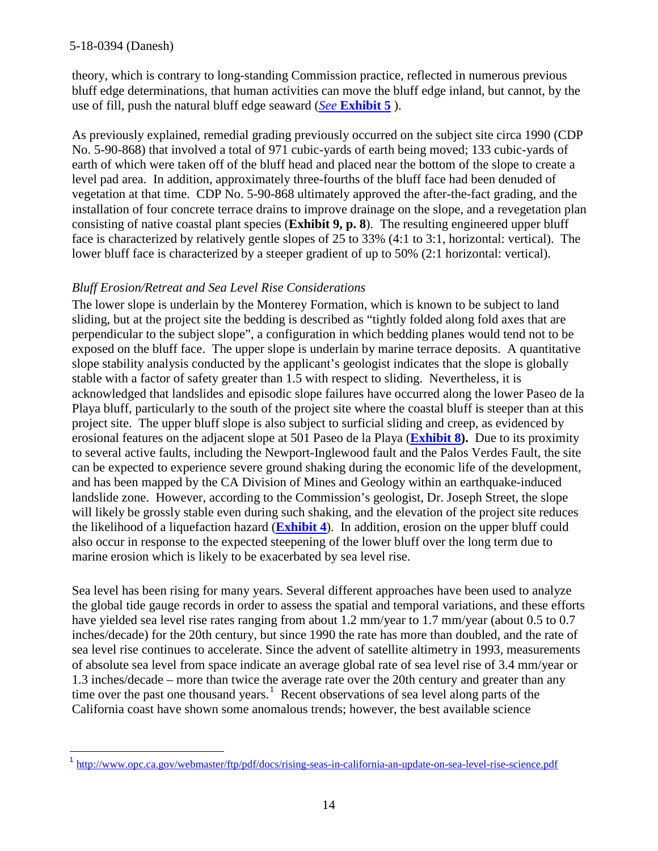theory, which is contrary to long-standing Commission practice, reflected in numerous previous bluff edge determinations, that human activities can move the bluff edge inland, but cannot, by the use of fill, push the natural bluff edge seaward (*See* **[Exhibit 5](https://documents.coastal.ca.gov/reports/2019/3/w21e/w21e-3-2019-exhibits.pdf)** ).

As previously explained, remedial grading previously occurred on the subject site circa 1990 (CDP No. 5-90-868) that involved a total of 971 cubic-yards of earth being moved; 133 cubic-yards of earth of which were taken off of the bluff head and placed near the bottom of the slope to create a level pad area. In addition, approximately three-fourths of the bluff face had been denuded of vegetation at that time. CDP No. 5-90-868 ultimately approved the after-the-fact grading, and the installation of four concrete terrace drains to improve drainage on the slope, and a revegetation plan consisting of native coastal plant species (**Exhibit 9, p. 8**). The resulting engineered upper bluff face is characterized by relatively gentle slopes of 25 to 33% (4:1 to 3:1, horizontal: vertical). The lower bluff face is characterized by a steeper gradient of up to 50% (2:1 horizontal: vertical).

### *Bluff Erosion/Retreat and Sea Level Rise Considerations*

The lower slope is underlain by the Monterey Formation, which is known to be subject to land sliding, but at the project site the bedding is described as "tightly folded along fold axes that are perpendicular to the subject slope", a configuration in which bedding planes would tend not to be exposed on the bluff face. The upper slope is underlain by marine terrace deposits. A quantitative slope stability analysis conducted by the applicant's geologist indicates that the slope is globally stable with a factor of safety greater than 1.5 with respect to sliding. Nevertheless, it is acknowledged that landslides and episodic slope failures have occurred along the lower Paseo de la Playa bluff, particularly to the south of the project site where the coastal bluff is steeper than at this project site. The upper bluff slope is also subject to surficial sliding and creep, as evidenced by erosional features on the adjacent slope at 501 Paseo de la Playa (**[Exhibit 8\)](https://documents.coastal.ca.gov/reports/2019/3/w21e/w21e-3-2019-exhibits.pdf).** Due to its proximity to several active faults, including the Newport-Inglewood fault and the Palos Verdes Fault, the site can be expected to experience severe ground shaking during the economic life of the development, and has been mapped by the CA Division of Mines and Geology within an earthquake-induced landslide zone. However, according to the Commission's geologist, Dr. Joseph Street, the slope will likely be grossly stable even during such shaking, and the elevation of the project site reduces the likelihood of a liquefaction hazard (**[Exhibit 4](https://documents.coastal.ca.gov/reports/2019/3/w21e/w21e-3-2019-exhibits.pdf)**). In addition, erosion on the upper bluff could also occur in response to the expected steepening of the lower bluff over the long term due to marine erosion which is likely to be exacerbated by sea level rise.

Sea level has been rising for many years. Several different approaches have been used to analyze the global tide gauge records in order to assess the spatial and temporal variations, and these efforts have yielded sea level rise rates ranging from about 1.2 mm/year to 1.7 mm/year (about 0.5 to 0.7 inches/decade) for the 20th century, but since 1990 the rate has more than doubled, and the rate of sea level rise continues to accelerate. Since the advent of satellite altimetry in 1993, measurements of absolute sea level from space indicate an average global rate of sea level rise of 3.4 mm/year or 1.3 inches/decade – more than twice the average rate over the 20th century and greater than any time over the past one thousand years.<sup>[1](#page-13-0)</sup> Recent observations of sea level along parts of the California coast have shown some anomalous trends; however, the best available science

<span id="page-13-0"></span><sup>&</sup>lt;sup>1</sup> <http://www.opc.ca.gov/webmaster/ftp/pdf/docs/rising-seas-in-california-an-update-on-sea-level-rise-science.pdf>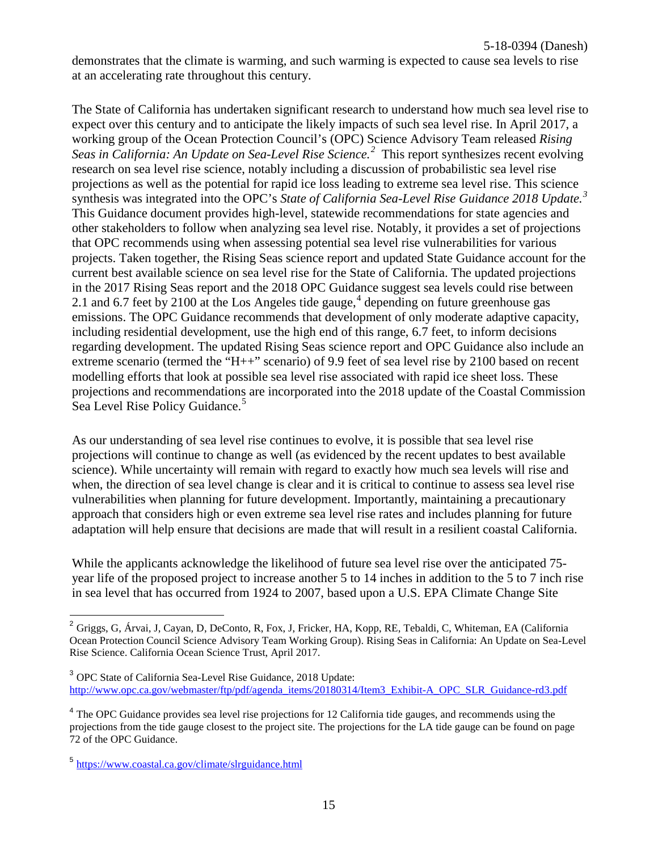demonstrates that the climate is warming, and such warming is expected to cause sea levels to rise at an accelerating rate throughout this century.

The State of California has undertaken significant research to understand how much sea level rise to expect over this century and to anticipate the likely impacts of such sea level rise. In April 2017, a working group of the Ocean Protection Council's (OPC) Science Advisory Team released *Rising Seas in California: An Update on Sea-Level Rise Science.[2](#page-14-0)* This report synthesizes recent evolving research on sea level rise science, notably including a discussion of probabilistic sea level rise projections as well as the potential for rapid ice loss leading to extreme sea level rise. This science synthesis was integrated into the OPC's *State of California Sea-Level Rise Guidance 2018 Update.[3](#page-14-1)* This Guidance document provides high-level, statewide recommendations for state agencies and other stakeholders to follow when analyzing sea level rise. Notably, it provides a set of projections that OPC recommends using when assessing potential sea level rise vulnerabilities for various projects. Taken together, the Rising Seas science report and updated State Guidance account for the current best available science on sea level rise for the State of California. The updated projections in the 2017 Rising Seas report and the 2018 OPC Guidance suggest sea levels could rise between 2.1 and 6.7 feet by 2100 at the Los Angeles tide gauge,  $4$  depending on future greenhouse gas emissions. The OPC Guidance recommends that development of only moderate adaptive capacity, including residential development, use the high end of this range, 6.7 feet, to inform decisions regarding development. The updated Rising Seas science report and OPC Guidance also include an extreme scenario (termed the "H++" scenario) of 9.9 feet of sea level rise by 2100 based on recent modelling efforts that look at possible sea level rise associated with rapid ice sheet loss. These projections and recommendations are incorporated into the 2018 update of the Coastal Commission Sea Level Rise Policy Guidance.<sup>[5](#page-14-3)</sup>

As our understanding of sea level rise continues to evolve, it is possible that sea level rise projections will continue to change as well (as evidenced by the recent updates to best available science). While uncertainty will remain with regard to exactly how much sea levels will rise and when, the direction of sea level change is clear and it is critical to continue to assess sea level rise vulnerabilities when planning for future development. Importantly, maintaining a precautionary approach that considers high or even extreme sea level rise rates and includes planning for future adaptation will help ensure that decisions are made that will result in a resilient coastal California.

While the applicants acknowledge the likelihood of future sea level rise over the anticipated 75 year life of the proposed project to increase another 5 to 14 inches in addition to the 5 to 7 inch rise in sea level that has occurred from 1924 to 2007, based upon a U.S. EPA Climate Change Site

<span id="page-14-0"></span><sup>&</sup>lt;sup>2</sup> Griggs, G, Árvai, J, Cayan, D, DeConto, R, Fox, J, Fricker, HA, Kopp, RE, Tebaldi, C, Whiteman, EA (California Ocean Protection Council Science Advisory Team Working Group). Rising Seas in California: An Update on Sea-Level Rise Science. California Ocean Science Trust, April 2017.

<span id="page-14-1"></span><sup>3</sup> OPC State of California Sea-Level Rise Guidance, 2018 Update: [http://www.opc.ca.gov/webmaster/ftp/pdf/agenda\\_items/20180314/Item3\\_Exhibit-A\\_OPC\\_SLR\\_Guidance-rd3](http://www.opc.ca.gov/webmaster/ftp/pdf/agenda_items/20180314/Item3_Exhibit-A_OPC_SLR_Guidance-rd3.pdf).pdf

<span id="page-14-2"></span><sup>&</sup>lt;sup>4</sup> The OPC Guidance provides sea level rise projections for 12 California tide gauges, and recommends using the projections from the tide gauge closest to the project site. The projections for the LA tide gauge can be found on page 72 of the OPC Guidance.

<span id="page-14-3"></span><sup>5</sup> <https://www.coastal.ca.gov/climate/slrguidance.html>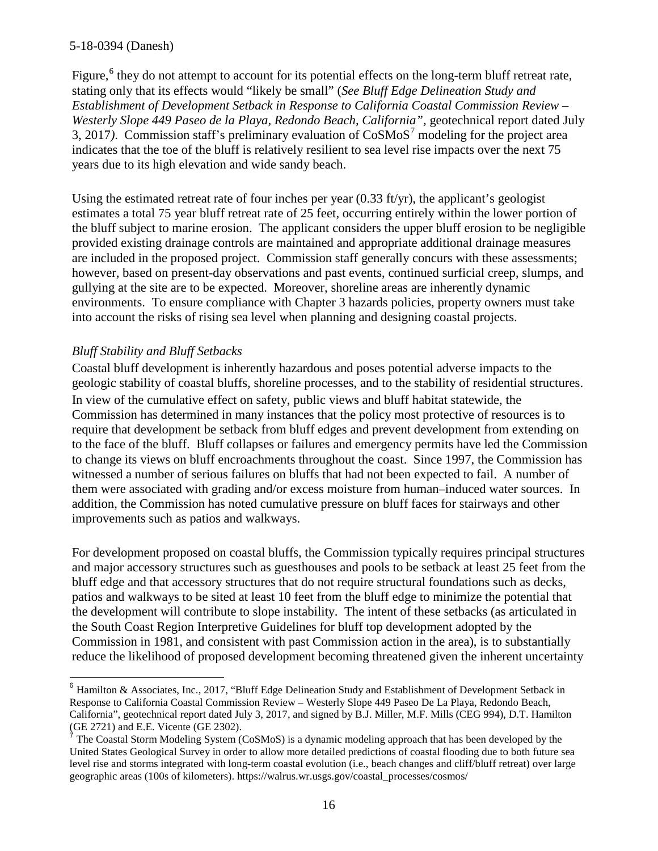Figure,<sup>[6](#page-15-0)</sup> they do not attempt to account for its potential effects on the long-term bluff retreat rate, stating only that its effects would "likely be small" (*See Bluff Edge Delineation Study and Establishment of Development Setback in Response to California Coastal Commission Review –* Westerly Slope 449 Paseo de la Playa, Redondo Beach, California", geotechnical report dated July 3, 201[7](#page-15-1)). Commission staff's preliminary evaluation of  $\cos\omega\pi$ <sup>7</sup> modeling for the project area indicates that the toe of the bluff is relatively resilient to sea level rise impacts over the next 75 years due to its high elevation and wide sandy beach.

Using the estimated retreat rate of four inches per year (0.33 ft/yr), the applicant's geologist estimates a total 75 year bluff retreat rate of 25 feet, occurring entirely within the lower portion of the bluff subject to marine erosion. The applicant considers the upper bluff erosion to be negligible provided existing drainage controls are maintained and appropriate additional drainage measures are included in the proposed project. Commission staff generally concurs with these assessments; however, based on present-day observations and past events, continued surficial creep, slumps, and gullying at the site are to be expected. Moreover, shoreline areas are inherently dynamic environments. To ensure compliance with Chapter 3 hazards policies, property owners must take into account the risks of rising sea level when planning and designing coastal projects.

### *Bluff Stability and Bluff Setbacks*

Coastal bluff development is inherently hazardous and poses potential adverse impacts to the geologic stability of coastal bluffs, shoreline processes, and to the stability of residential structures. In view of the cumulative effect on safety, public views and bluff habitat statewide, the Commission has determined in many instances that the policy most protective of resources is to require that development be setback from bluff edges and prevent development from extending on to the face of the bluff. Bluff collapses or failures and emergency permits have led the Commission to change its views on bluff encroachments throughout the coast. Since 1997, the Commission has witnessed a number of serious failures on bluffs that had not been expected to fail. A number of them were associated with grading and/or excess moisture from human–induced water sources. In addition, the Commission has noted cumulative pressure on bluff faces for stairways and other improvements such as patios and walkways.

For development proposed on coastal bluffs, the Commission typically requires principal structures and major accessory structures such as guesthouses and pools to be setback at least 25 feet from the bluff edge and that accessory structures that do not require structural foundations such as decks, patios and walkways to be sited at least 10 feet from the bluff edge to minimize the potential that the development will contribute to slope instability. The intent of these setbacks (as articulated in the South Coast Region Interpretive Guidelines for bluff top development adopted by the Commission in 1981, and consistent with past Commission action in the area), is to substantially reduce the likelihood of proposed development becoming threatened given the inherent uncertainty

<span id="page-15-0"></span><sup>&</sup>lt;sup>6</sup> Hamilton & Associates, Inc., 2017, "Bluff Edge Delineation Study and Establishment of Development Setback in Response to California Coastal Commission Review – Westerly Slope 449 Paseo De La Playa, Redondo Beach, California", geotechnical report dated July 3, 2017, and signed by B.J. Miller, M.F. Mills (CEG 994), D.T. Hamilton (GE 2721) and E.E. Vicente (GE 2302).

<span id="page-15-1"></span>The Coastal Storm Modeling System (CoSMoS) is a dynamic modeling approach that has been developed by the United States Geological Survey in order to allow more detailed predictions of coastal flooding due to both future sea level rise and storms integrated with long-term coastal evolution (i.e., beach changes and cliff/bluff retreat) over large geographic areas (100s of kilometers). https://walrus.wr.usgs.gov/coastal\_processes/cosmos/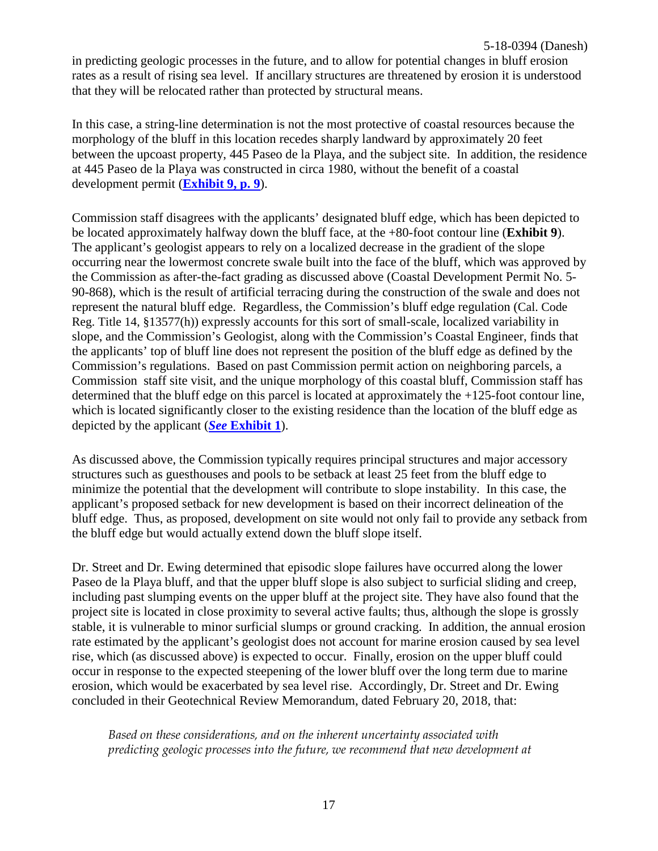in predicting geologic processes in the future, and to allow for potential changes in bluff erosion rates as a result of rising sea level. If ancillary structures are threatened by erosion it is understood that they will be relocated rather than protected by structural means.

In this case, a string-line determination is not the most protective of coastal resources because the morphology of the bluff in this location recedes sharply landward by approximately 20 feet between the upcoast property, 445 Paseo de la Playa, and the subject site. In addition, the residence at 445 Paseo de la Playa was constructed in circa 1980, without the benefit of a coastal development permit (**[Exhibit 9, p. 9](https://documents.coastal.ca.gov/reports/2019/3/w21e/w21e-3-2019-exhibits.pdf)**).

Commission staff disagrees with the applicants' designated bluff edge, which has been depicted to be located approximately halfway down the bluff face, at the +80-foot contour line (**Exhibit 9**). The applicant's geologist appears to rely on a localized decrease in the gradient of the slope occurring near the lowermost concrete swale built into the face of the bluff, which was approved by the Commission as after-the-fact grading as discussed above (Coastal Development Permit No. 5- 90-868), which is the result of artificial terracing during the construction of the swale and does not represent the natural bluff edge. Regardless, the Commission's bluff edge regulation (Cal. Code Reg. Title 14, §13577(h)) expressly accounts for this sort of small-scale, localized variability in slope, and the Commission's Geologist, along with the Commission's Coastal Engineer, finds that the applicants' top of bluff line does not represent the position of the bluff edge as defined by the Commission's regulations. Based on past Commission permit action on neighboring parcels, a Commission staff site visit, and the unique morphology of this coastal bluff, Commission staff has determined that the bluff edge on this parcel is located at approximately the +125-foot contour line, which is located significantly closer to the existing residence than the location of the bluff edge as depicted by the applicant (*See* **[Exhibit 1](https://documents.coastal.ca.gov/reports/2019/3/w21e/w21e-3-2019-exhibits.pdf)**).

As discussed above, the Commission typically requires principal structures and major accessory structures such as guesthouses and pools to be setback at least 25 feet from the bluff edge to minimize the potential that the development will contribute to slope instability. In this case, the applicant's proposed setback for new development is based on their incorrect delineation of the bluff edge. Thus, as proposed, development on site would not only fail to provide any setback from the bluff edge but would actually extend down the bluff slope itself.

Dr. Street and Dr. Ewing determined that episodic slope failures have occurred along the lower Paseo de la Playa bluff, and that the upper bluff slope is also subject to surficial sliding and creep, including past slumping events on the upper bluff at the project site. They have also found that the project site is located in close proximity to several active faults; thus, although the slope is grossly stable, it is vulnerable to minor surficial slumps or ground cracking. In addition, the annual erosion rate estimated by the applicant's geologist does not account for marine erosion caused by sea level rise, which (as discussed above) is expected to occur. Finally, erosion on the upper bluff could occur in response to the expected steepening of the lower bluff over the long term due to marine erosion, which would be exacerbated by sea level rise. Accordingly, Dr. Street and Dr. Ewing concluded in their Geotechnical Review Memorandum, dated February 20, 2018, that:

*Based on these considerations, and on the inherent uncertainty associated with predicting geologic processes into the future, we recommend that new development at*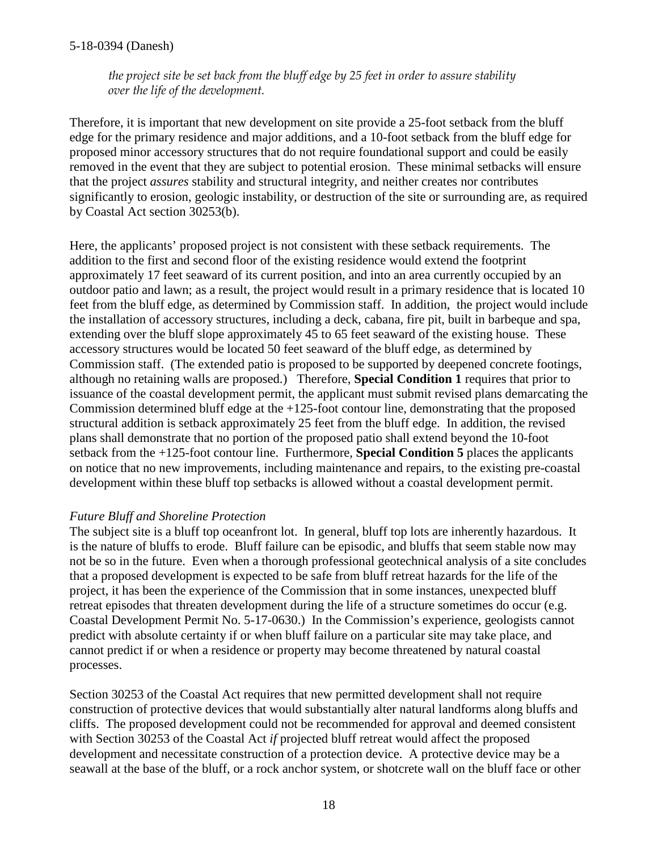*the project site be set back from the bluff edge by 25 feet in order to assure stability over the life of the development.*

Therefore, it is important that new development on site provide a 25-foot setback from the bluff edge for the primary residence and major additions, and a 10-foot setback from the bluff edge for proposed minor accessory structures that do not require foundational support and could be easily removed in the event that they are subject to potential erosion. These minimal setbacks will ensure that the project *assures* stability and structural integrity, and neither creates nor contributes significantly to erosion, geologic instability, or destruction of the site or surrounding are, as required by Coastal Act section 30253(b).

Here, the applicants' proposed project is not consistent with these setback requirements. The addition to the first and second floor of the existing residence would extend the footprint approximately 17 feet seaward of its current position, and into an area currently occupied by an outdoor patio and lawn; as a result, the project would result in a primary residence that is located 10 feet from the bluff edge, as determined by Commission staff. In addition, the project would include the installation of accessory structures, including a deck, cabana, fire pit, built in barbeque and spa, extending over the bluff slope approximately 45 to 65 feet seaward of the existing house. These accessory structures would be located 50 feet seaward of the bluff edge, as determined by Commission staff. (The extended patio is proposed to be supported by deepened concrete footings, although no retaining walls are proposed.) Therefore, **Special Condition 1** requires that prior to issuance of the coastal development permit, the applicant must submit revised plans demarcating the Commission determined bluff edge at the +125-foot contour line, demonstrating that the proposed structural addition is setback approximately 25 feet from the bluff edge. In addition, the revised plans shall demonstrate that no portion of the proposed patio shall extend beyond the 10-foot setback from the +125-foot contour line. Furthermore, **Special Condition 5** places the applicants on notice that no new improvements, including maintenance and repairs, to the existing pre-coastal development within these bluff top setbacks is allowed without a coastal development permit.

### *Future Bluff and Shoreline Protection*

The subject site is a bluff top oceanfront lot. In general, bluff top lots are inherently hazardous. It is the nature of bluffs to erode. Bluff failure can be episodic, and bluffs that seem stable now may not be so in the future. Even when a thorough professional geotechnical analysis of a site concludes that a proposed development is expected to be safe from bluff retreat hazards for the life of the project, it has been the experience of the Commission that in some instances, unexpected bluff retreat episodes that threaten development during the life of a structure sometimes do occur (e.g. Coastal Development Permit No. 5-17-0630.) In the Commission's experience, geologists cannot predict with absolute certainty if or when bluff failure on a particular site may take place, and cannot predict if or when a residence or property may become threatened by natural coastal processes.

Section 30253 of the Coastal Act requires that new permitted development shall not require construction of protective devices that would substantially alter natural landforms along bluffs and cliffs. The proposed development could not be recommended for approval and deemed consistent with Section 30253 of the Coastal Act *if* projected bluff retreat would affect the proposed development and necessitate construction of a protection device. A protective device may be a seawall at the base of the bluff, or a rock anchor system, or shotcrete wall on the bluff face or other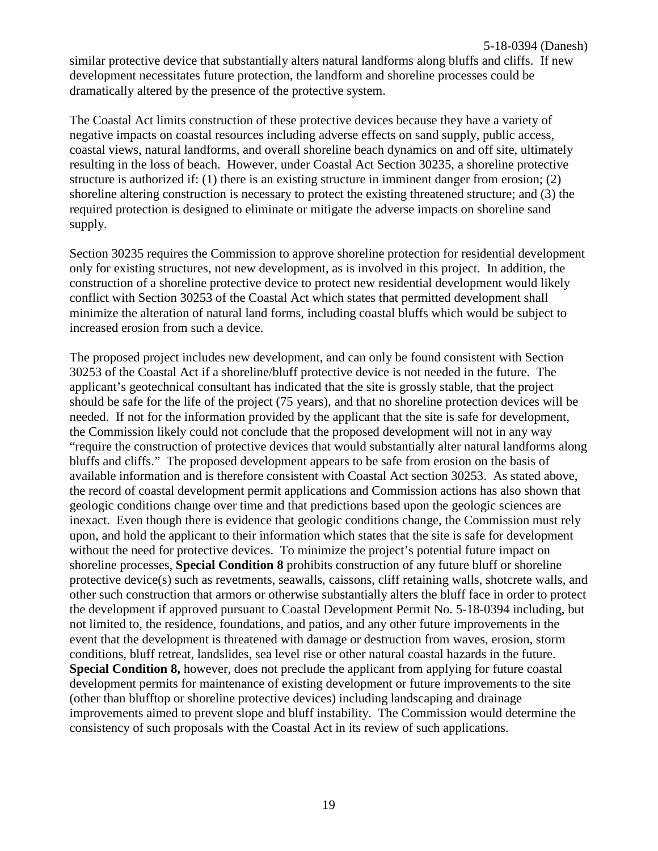similar protective device that substantially alters natural landforms along bluffs and cliffs. If new development necessitates future protection, the landform and shoreline processes could be dramatically altered by the presence of the protective system.

The Coastal Act limits construction of these protective devices because they have a variety of negative impacts on coastal resources including adverse effects on sand supply, public access, coastal views, natural landforms, and overall shoreline beach dynamics on and off site, ultimately resulting in the loss of beach. However, under Coastal Act Section 30235, a shoreline protective structure is authorized if: (1) there is an existing structure in imminent danger from erosion; (2) shoreline altering construction is necessary to protect the existing threatened structure; and (3) the required protection is designed to eliminate or mitigate the adverse impacts on shoreline sand supply.

Section 30235 requires the Commission to approve shoreline protection for residential development only for existing structures, not new development, as is involved in this project. In addition, the construction of a shoreline protective device to protect new residential development would likely conflict with Section 30253 of the Coastal Act which states that permitted development shall minimize the alteration of natural land forms, including coastal bluffs which would be subject to increased erosion from such a device.

The proposed project includes new development, and can only be found consistent with Section 30253 of the Coastal Act if a shoreline/bluff protective device is not needed in the future. The applicant's geotechnical consultant has indicated that the site is grossly stable, that the project should be safe for the life of the project (75 years), and that no shoreline protection devices will be needed. If not for the information provided by the applicant that the site is safe for development, the Commission likely could not conclude that the proposed development will not in any way "require the construction of protective devices that would substantially alter natural landforms along bluffs and cliffs." The proposed development appears to be safe from erosion on the basis of available information and is therefore consistent with Coastal Act section 30253. As stated above, the record of coastal development permit applications and Commission actions has also shown that geologic conditions change over time and that predictions based upon the geologic sciences are inexact. Even though there is evidence that geologic conditions change, the Commission must rely upon, and hold the applicant to their information which states that the site is safe for development without the need for protective devices. To minimize the project's potential future impact on shoreline processes, **Special Condition 8** prohibits construction of any future bluff or shoreline protective device(s) such as revetments, seawalls, caissons, cliff retaining walls, shotcrete walls, and other such construction that armors or otherwise substantially alters the bluff face in order to protect the development if approved pursuant to Coastal Development Permit No. 5-18-0394 including, but not limited to, the residence, foundations, and patios, and any other future improvements in the event that the development is threatened with damage or destruction from waves, erosion, storm conditions, bluff retreat, landslides, sea level rise or other natural coastal hazards in the future. **Special Condition 8,** however, does not preclude the applicant from applying for future coastal development permits for maintenance of existing development or future improvements to the site (other than blufftop or shoreline protective devices) including landscaping and drainage improvements aimed to prevent slope and bluff instability. The Commission would determine the consistency of such proposals with the Coastal Act in its review of such applications.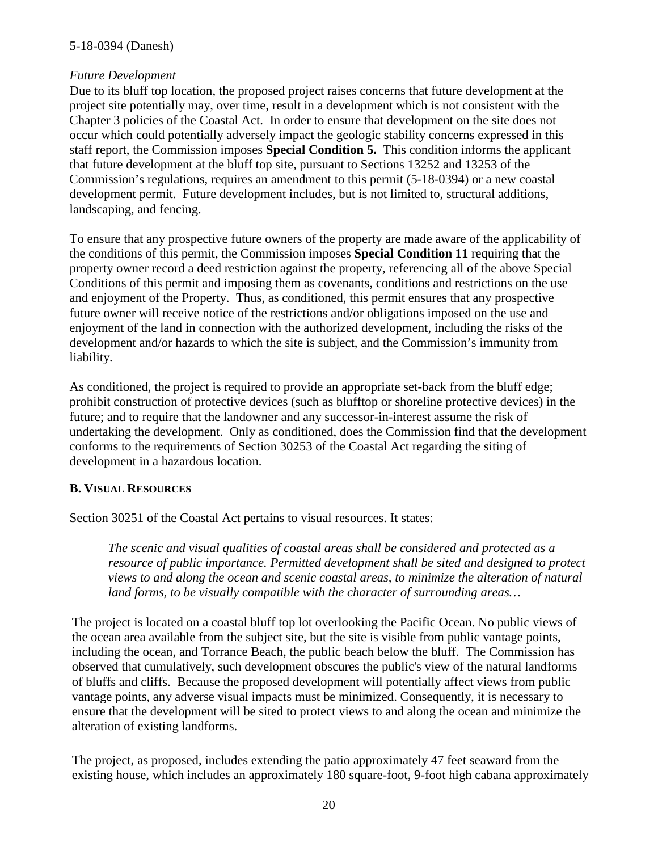#### *Future Development*

Due to its bluff top location, the proposed project raises concerns that future development at the project site potentially may, over time, result in a development which is not consistent with the Chapter 3 policies of the Coastal Act. In order to ensure that development on the site does not occur which could potentially adversely impact the geologic stability concerns expressed in this staff report, the Commission imposes **Special Condition 5.** This condition informs the applicant that future development at the bluff top site, pursuant to Sections 13252 and 13253 of the Commission's regulations, requires an amendment to this permit (5-18-0394) or a new coastal development permit. Future development includes, but is not limited to, structural additions, landscaping, and fencing.

To ensure that any prospective future owners of the property are made aware of the applicability of the conditions of this permit, the Commission imposes **Special Condition 11** requiring that the property owner record a deed restriction against the property, referencing all of the above Special Conditions of this permit and imposing them as covenants, conditions and restrictions on the use and enjoyment of the Property. Thus, as conditioned, this permit ensures that any prospective future owner will receive notice of the restrictions and/or obligations imposed on the use and enjoyment of the land in connection with the authorized development, including the risks of the development and/or hazards to which the site is subject, and the Commission's immunity from liability.

As conditioned, the project is required to provide an appropriate set-back from the bluff edge; prohibit construction of protective devices (such as blufftop or shoreline protective devices) in the future; and to require that the landowner and any successor-in-interest assume the risk of undertaking the development. Only as conditioned, does the Commission find that the development conforms to the requirements of Section 30253 of the Coastal Act regarding the siting of development in a hazardous location.

### <span id="page-19-0"></span>**B. VISUAL RESOURCES**

Section 30251 of the Coastal Act pertains to visual resources. It states:

*The scenic and visual qualities of coastal areas shall be considered and protected as a resource of public importance. Permitted development shall be sited and designed to protect views to and along the ocean and scenic coastal areas, to minimize the alteration of natural land forms, to be visually compatible with the character of surrounding areas…*

The project is located on a coastal bluff top lot overlooking the Pacific Ocean. No public views of the ocean area available from the subject site, but the site is visible from public vantage points, including the ocean, and Torrance Beach, the public beach below the bluff. The Commission has observed that cumulatively, such development obscures the public's view of the natural landforms of bluffs and cliffs. Because the proposed development will potentially affect views from public vantage points, any adverse visual impacts must be minimized. Consequently, it is necessary to ensure that the development will be sited to protect views to and along the ocean and minimize the alteration of existing landforms.

The project, as proposed, includes extending the patio approximately 47 feet seaward from the existing house, which includes an approximately 180 square-foot, 9-foot high cabana approximately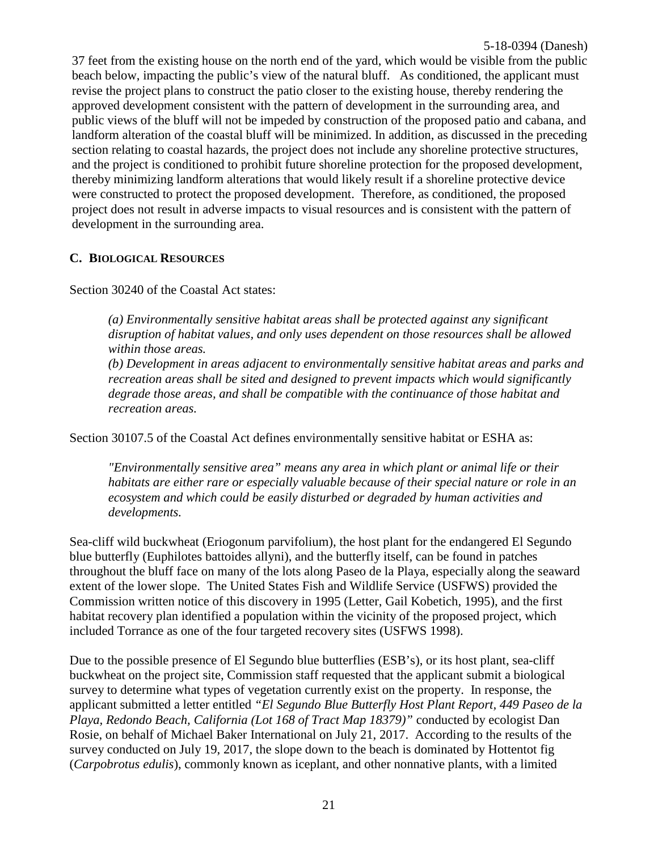37 feet from the existing house on the north end of the yard, which would be visible from the public beach below, impacting the public's view of the natural bluff. As conditioned, the applicant must revise the project plans to construct the patio closer to the existing house, thereby rendering the approved development consistent with the pattern of development in the surrounding area, and public views of the bluff will not be impeded by construction of the proposed patio and cabana, and landform alteration of the coastal bluff will be minimized. In addition, as discussed in the preceding section relating to coastal hazards, the project does not include any shoreline protective structures, and the project is conditioned to prohibit future shoreline protection for the proposed development, thereby minimizing landform alterations that would likely result if a shoreline protective device were constructed to protect the proposed development. Therefore, as conditioned, the proposed project does not result in adverse impacts to visual resources and is consistent with the pattern of development in the surrounding area.

### <span id="page-20-0"></span>**C. BIOLOGICAL RESOURCES**

Section 30240 of the Coastal Act states:

*(a) Environmentally sensitive habitat areas shall be protected against any significant disruption of habitat values, and only uses dependent on those resources shall be allowed within those areas.* 

*(b) Development in areas adjacent to environmentally sensitive habitat areas and parks and recreation areas shall be sited and designed to prevent impacts which would significantly degrade those areas, and shall be compatible with the continuance of those habitat and recreation areas.*

Section 30107.5 of the Coastal Act defines environmentally sensitive habitat or ESHA as:

*"Environmentally sensitive area" means any area in which plant or animal life or their habitats are either rare or especially valuable because of their special nature or role in an ecosystem and which could be easily disturbed or degraded by human activities and developments.*

Sea-cliff wild buckwheat (Eriogonum parvifolium), the host plant for the endangered El Segundo blue butterfly (Euphilotes battoides allyni), and the butterfly itself, can be found in patches throughout the bluff face on many of the lots along Paseo de la Playa, especially along the seaward extent of the lower slope. The United States Fish and Wildlife Service (USFWS) provided the Commission written notice of this discovery in 1995 (Letter, Gail Kobetich, 1995), and the first habitat recovery plan identified a population within the vicinity of the proposed project, which included Torrance as one of the four targeted recovery sites (USFWS 1998).

Due to the possible presence of El Segundo blue butterflies (ESB's), or its host plant, sea-cliff buckwheat on the project site, Commission staff requested that the applicant submit a biological survey to determine what types of vegetation currently exist on the property. In response, the applicant submitted a letter entitled *"El Segundo Blue Butterfly Host Plant Report, 449 Paseo de la Playa, Redondo Beach, California (Lot 168 of Tract Map 18379)"* conducted by ecologist Dan Rosie, on behalf of Michael Baker International on July 21, 2017. According to the results of the survey conducted on July 19, 2017, the slope down to the beach is dominated by Hottentot fig (*Carpobrotus edulis*), commonly known as iceplant, and other nonnative plants, with a limited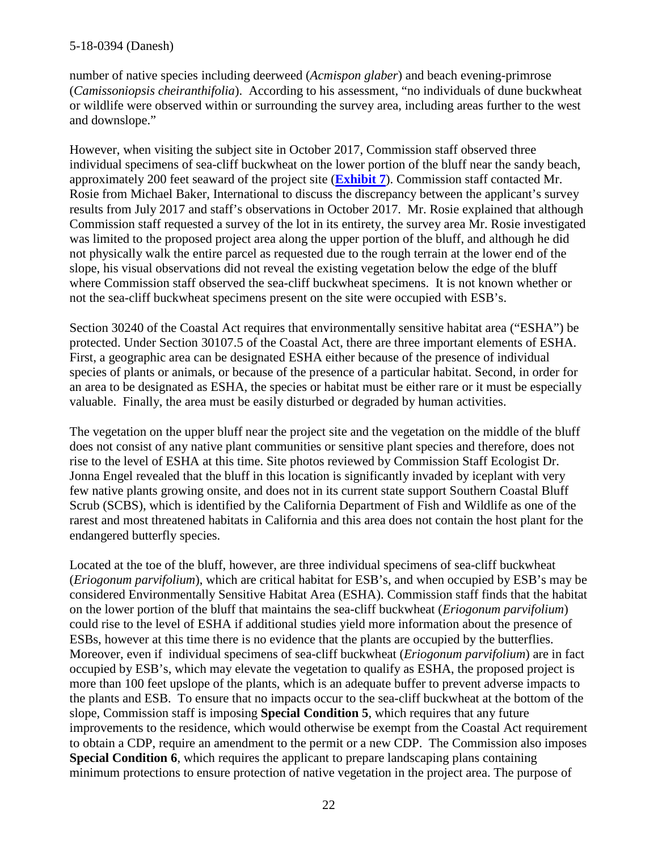number of native species including deerweed (*Acmispon glaber*) and beach evening-primrose (*Camissoniopsis cheiranthifolia*). According to his assessment, "no individuals of dune buckwheat or wildlife were observed within or surrounding the survey area, including areas further to the west and downslope."

However, when visiting the subject site in October 2017, Commission staff observed three individual specimens of sea-cliff buckwheat on the lower portion of the bluff near the sandy beach, approximately 200 feet seaward of the project site (**[Exhibit 7](https://documents.coastal.ca.gov/reports/2019/3/w21e/w21e-3-2019-exhibits.pdf)**). Commission staff contacted Mr. Rosie from Michael Baker, International to discuss the discrepancy between the applicant's survey results from July 2017 and staff's observations in October 2017. Mr. Rosie explained that although Commission staff requested a survey of the lot in its entirety, the survey area Mr. Rosie investigated was limited to the proposed project area along the upper portion of the bluff, and although he did not physically walk the entire parcel as requested due to the rough terrain at the lower end of the slope, his visual observations did not reveal the existing vegetation below the edge of the bluff where Commission staff observed the sea-cliff buckwheat specimens. It is not known whether or not the sea-cliff buckwheat specimens present on the site were occupied with ESB's.

Section 30240 of the Coastal Act requires that environmentally sensitive habitat area ("ESHA") be protected. Under Section 30107.5 of the Coastal Act, there are three important elements of ESHA. First, a geographic area can be designated ESHA either because of the presence of individual species of plants or animals, or because of the presence of a particular habitat. Second, in order for an area to be designated as ESHA, the species or habitat must be either rare or it must be especially valuable. Finally, the area must be easily disturbed or degraded by human activities.

The vegetation on the upper bluff near the project site and the vegetation on the middle of the bluff does not consist of any native plant communities or sensitive plant species and therefore, does not rise to the level of ESHA at this time. Site photos reviewed by Commission Staff Ecologist Dr. Jonna Engel revealed that the bluff in this location is significantly invaded by iceplant with very few native plants growing onsite, and does not in its current state support Southern Coastal Bluff Scrub (SCBS), which is identified by the California Department of Fish and Wildlife as one of the rarest and most threatened habitats in California and this area does not contain the host plant for the endangered butterfly species.

Located at the toe of the bluff, however, are three individual specimens of sea-cliff buckwheat (*Eriogonum parvifolium*), which are critical habitat for ESB's, and when occupied by ESB's may be considered Environmentally Sensitive Habitat Area (ESHA). Commission staff finds that the habitat on the lower portion of the bluff that maintains the sea-cliff buckwheat (*Eriogonum parvifolium*) could rise to the level of ESHA if additional studies yield more information about the presence of ESBs, however at this time there is no evidence that the plants are occupied by the butterflies. Moreover, even if individual specimens of sea-cliff buckwheat (*Eriogonum parvifolium*) are in fact occupied by ESB's, which may elevate the vegetation to qualify as ESHA, the proposed project is more than 100 feet upslope of the plants, which is an adequate buffer to prevent adverse impacts to the plants and ESB. To ensure that no impacts occur to the sea-cliff buckwheat at the bottom of the slope, Commission staff is imposing **Special Condition 5**, which requires that any future improvements to the residence, which would otherwise be exempt from the Coastal Act requirement to obtain a CDP, require an amendment to the permit or a new CDP. The Commission also imposes **Special Condition 6**, which requires the applicant to prepare landscaping plans containing minimum protections to ensure protection of native vegetation in the project area. The purpose of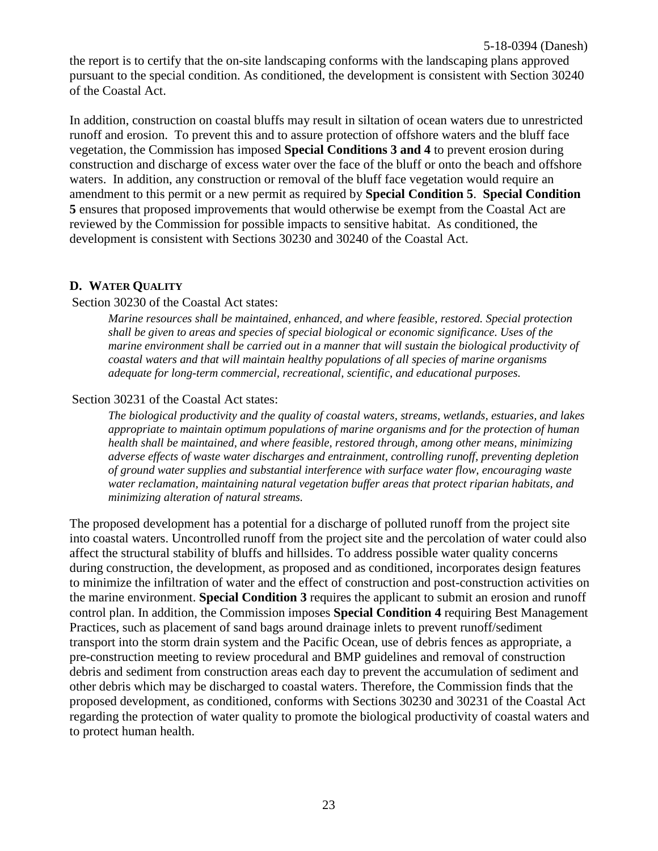the report is to certify that the on-site landscaping conforms with the landscaping plans approved pursuant to the special condition. As conditioned, the development is consistent with Section 30240 of the Coastal Act.

In addition, construction on coastal bluffs may result in siltation of ocean waters due to unrestricted runoff and erosion. To prevent this and to assure protection of offshore waters and the bluff face vegetation, the Commission has imposed **Special Conditions 3 and 4** to prevent erosion during construction and discharge of excess water over the face of the bluff or onto the beach and offshore waters. In addition, any construction or removal of the bluff face vegetation would require an amendment to this permit or a new permit as required by **Special Condition 5**. **Special Condition 5** ensures that proposed improvements that would otherwise be exempt from the Coastal Act are reviewed by the Commission for possible impacts to sensitive habitat. As conditioned, the development is consistent with Sections 30230 and 30240 of the Coastal Act.

### <span id="page-22-0"></span>**D. WATER QUALITY**

#### Section 30230 of the Coastal Act states:

*Marine resources shall be maintained, enhanced, and where feasible, restored. Special protection shall be given to areas and species of special biological or economic significance. Uses of the marine environment shall be carried out in a manner that will sustain the biological productivity of coastal waters and that will maintain healthy populations of all species of marine organisms adequate for long-term commercial, recreational, scientific, and educational purposes.*

#### Section 30231 of the Coastal Act states:

*The biological productivity and the quality of coastal waters, streams, wetlands, estuaries, and lakes appropriate to maintain optimum populations of marine organisms and for the protection of human health shall be maintained, and where feasible, restored through, among other means, minimizing adverse effects of waste water discharges and entrainment, controlling runoff, preventing depletion of ground water supplies and substantial interference with surface water flow, encouraging waste water reclamation, maintaining natural vegetation buffer areas that protect riparian habitats, and minimizing alteration of natural streams.*

The proposed development has a potential for a discharge of polluted runoff from the project site into coastal waters. Uncontrolled runoff from the project site and the percolation of water could also affect the structural stability of bluffs and hillsides. To address possible water quality concerns during construction, the development, as proposed and as conditioned, incorporates design features to minimize the infiltration of water and the effect of construction and post-construction activities on the marine environment. **Special Condition 3** requires the applicant to submit an erosion and runoff control plan. In addition, the Commission imposes **Special Condition 4** requiring Best Management Practices, such as placement of sand bags around drainage inlets to prevent runoff/sediment transport into the storm drain system and the Pacific Ocean, use of debris fences as appropriate, a pre-construction meeting to review procedural and BMP guidelines and removal of construction debris and sediment from construction areas each day to prevent the accumulation of sediment and other debris which may be discharged to coastal waters. Therefore, the Commission finds that the proposed development, as conditioned, conforms with Sections 30230 and 30231 of the Coastal Act regarding the protection of water quality to promote the biological productivity of coastal waters and to protect human health.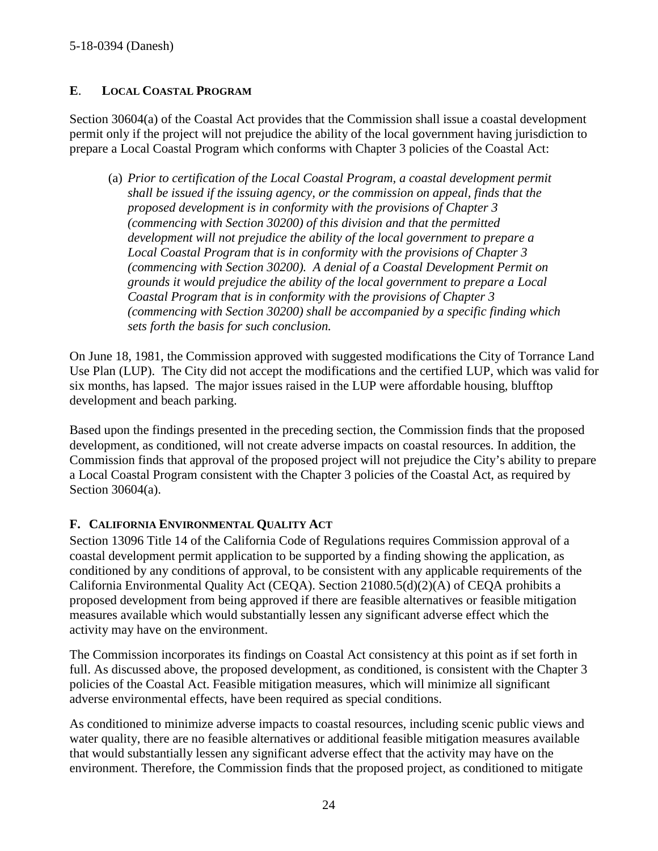### **E**. **LOCAL COASTAL PROGRAM**

Section 30604(a) of the Coastal Act provides that the Commission shall issue a coastal development permit only if the project will not prejudice the ability of the local government having jurisdiction to prepare a Local Coastal Program which conforms with Chapter 3 policies of the Coastal Act:

(a) *Prior to certification of the Local Coastal Program, a coastal development permit shall be issued if the issuing agency, or the commission on appeal, finds that the proposed development is in conformity with the provisions of Chapter 3 (commencing with Section 30200) of this division and that the permitted development will not prejudice the ability of the local government to prepare a Local Coastal Program that is in conformity with the provisions of Chapter 3 (commencing with Section 30200). A denial of a Coastal Development Permit on grounds it would prejudice the ability of the local government to prepare a Local Coastal Program that is in conformity with the provisions of Chapter 3 (commencing with Section 30200) shall be accompanied by a specific finding which sets forth the basis for such conclusion.*

On June 18, 1981, the Commission approved with suggested modifications the City of Torrance Land Use Plan (LUP). The City did not accept the modifications and the certified LUP, which was valid for six months, has lapsed. The major issues raised in the LUP were affordable housing, blufftop development and beach parking.

Based upon the findings presented in the preceding section, the Commission finds that the proposed development, as conditioned, will not create adverse impacts on coastal resources. In addition, the Commission finds that approval of the proposed project will not prejudice the City's ability to prepare a Local Coastal Program consistent with the Chapter 3 policies of the Coastal Act, as required by Section 30604(a).

### <span id="page-23-0"></span>**F. CALIFORNIA ENVIRONMENTAL QUALITY ACT**

Section 13096 Title 14 of the California Code of Regulations requires Commission approval of a coastal development permit application to be supported by a finding showing the application, as conditioned by any conditions of approval, to be consistent with any applicable requirements of the California Environmental Quality Act (CEQA). Section 21080.5(d)(2)(A) of CEQA prohibits a proposed development from being approved if there are feasible alternatives or feasible mitigation measures available which would substantially lessen any significant adverse effect which the activity may have on the environment.

The Commission incorporates its findings on Coastal Act consistency at this point as if set forth in full. As discussed above, the proposed development, as conditioned, is consistent with the Chapter 3 policies of the Coastal Act. Feasible mitigation measures, which will minimize all significant adverse environmental effects, have been required as special conditions.

As conditioned to minimize adverse impacts to coastal resources, including scenic public views and water quality, there are no feasible alternatives or additional feasible mitigation measures available that would substantially lessen any significant adverse effect that the activity may have on the environment. Therefore, the Commission finds that the proposed project, as conditioned to mitigate